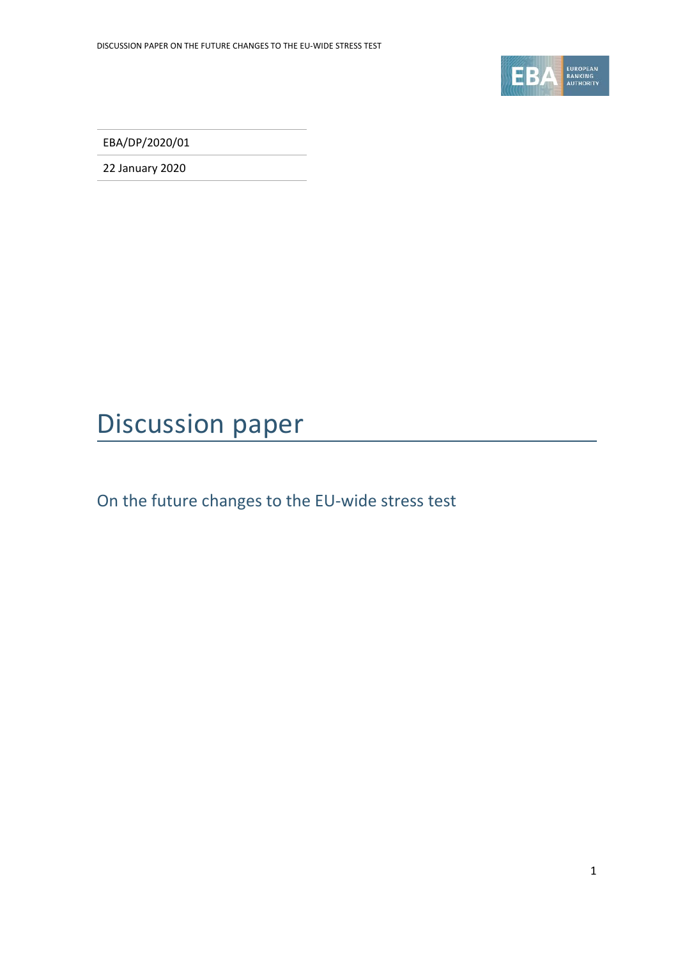

EBA/DP/2020/01

22 January 2020

# Discussion paper

On the future changes to the EU-wide stress test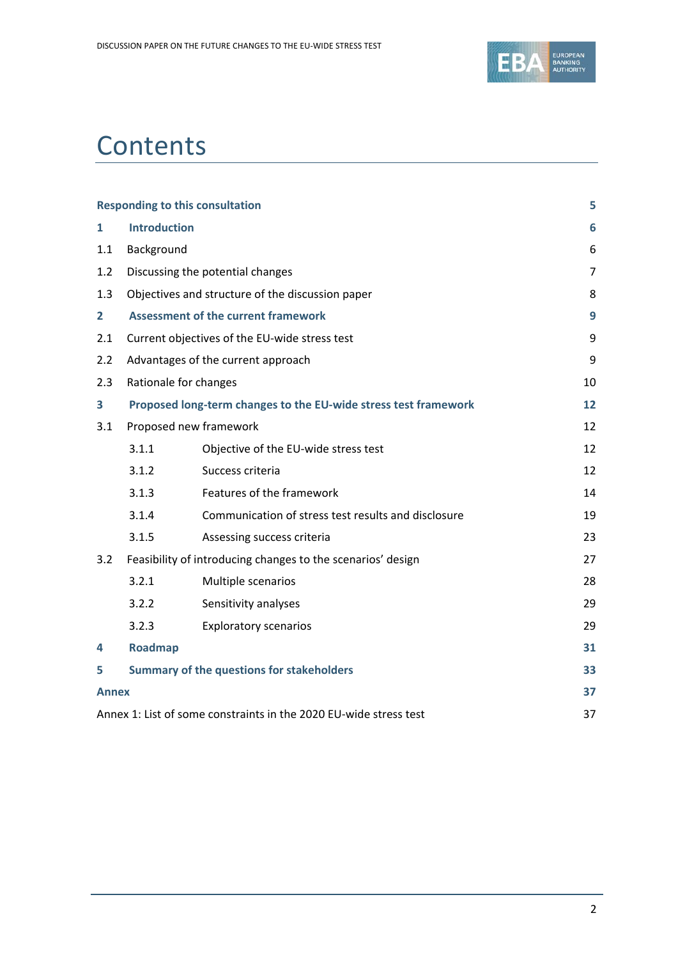

# **Contents**

|                |                       | <b>Responding to this consultation</b>                            | 5              |
|----------------|-----------------------|-------------------------------------------------------------------|----------------|
| 1              | <b>Introduction</b>   | 6                                                                 |                |
| 1.1            | Background            |                                                                   | 6              |
| 1.2            |                       | Discussing the potential changes                                  | $\overline{7}$ |
| 1.3            |                       | Objectives and structure of the discussion paper                  | 8              |
| $\overline{2}$ |                       | <b>Assessment of the current framework</b>                        | 9              |
| 2.1            |                       | Current objectives of the EU-wide stress test                     | 9              |
| 2.2            |                       | Advantages of the current approach                                | 9              |
| 2.3            | Rationale for changes |                                                                   | 10             |
| 3              |                       | Proposed long-term changes to the EU-wide stress test framework   | 12             |
| 3.1            |                       | Proposed new framework                                            | 12             |
|                | 3.1.1                 | Objective of the EU-wide stress test                              | 12             |
|                | 3.1.2                 | Success criteria                                                  | 12             |
|                | 3.1.3                 | Features of the framework                                         | 14             |
|                | 3.1.4                 | Communication of stress test results and disclosure               | 19             |
|                | 3.1.5                 | Assessing success criteria                                        | 23             |
| 3.2            |                       | Feasibility of introducing changes to the scenarios' design       | 27             |
|                | 3.2.1                 | Multiple scenarios                                                | 28             |
|                | 3.2.2                 | Sensitivity analyses                                              | 29             |
|                | 3.2.3                 | <b>Exploratory scenarios</b>                                      | 29             |
| 4              | Roadmap               |                                                                   | 31             |
| 5              |                       | <b>Summary of the questions for stakeholders</b>                  | 33             |
| <b>Annex</b>   |                       |                                                                   | 37             |
|                |                       | Annex 1: List of some constraints in the 2020 EU-wide stress test | 37             |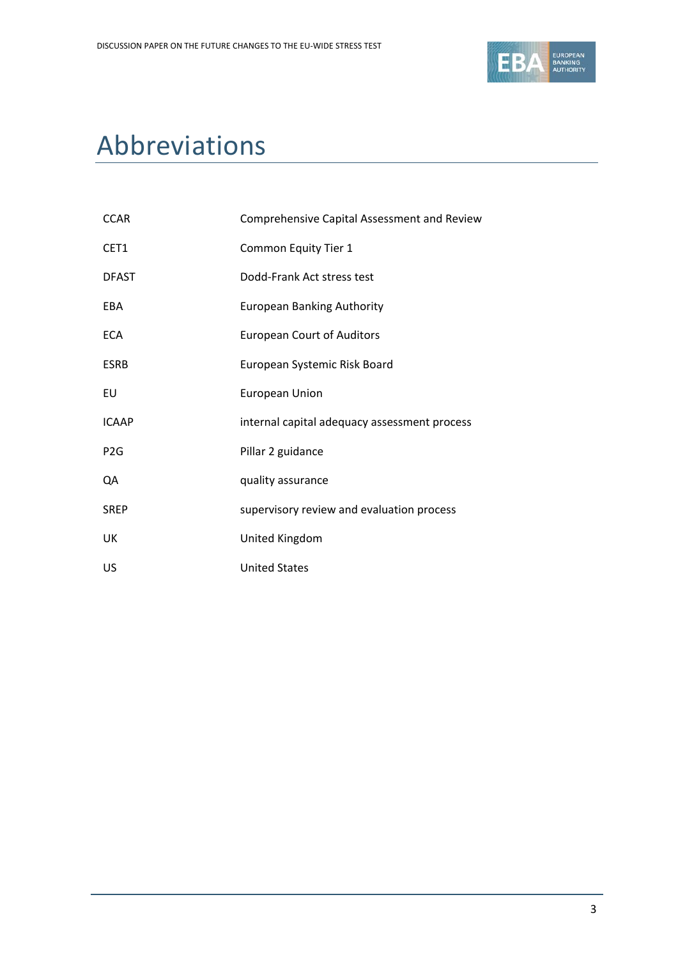

# Abbreviations

| <b>CCAR</b>      | Comprehensive Capital Assessment and Review  |
|------------------|----------------------------------------------|
| CET1             | Common Equity Tier 1                         |
| <b>DFAST</b>     | Dodd-Frank Act stress test                   |
| EBA              | <b>European Banking Authority</b>            |
| <b>ECA</b>       | <b>European Court of Auditors</b>            |
| <b>ESRB</b>      | European Systemic Risk Board                 |
| EU               | <b>European Union</b>                        |
| <b>ICAAP</b>     | internal capital adequacy assessment process |
| P <sub>2</sub> G | Pillar 2 guidance                            |
| QA               | quality assurance                            |
| <b>SREP</b>      | supervisory review and evaluation process    |
| UK               | United Kingdom                               |
| US               | <b>United States</b>                         |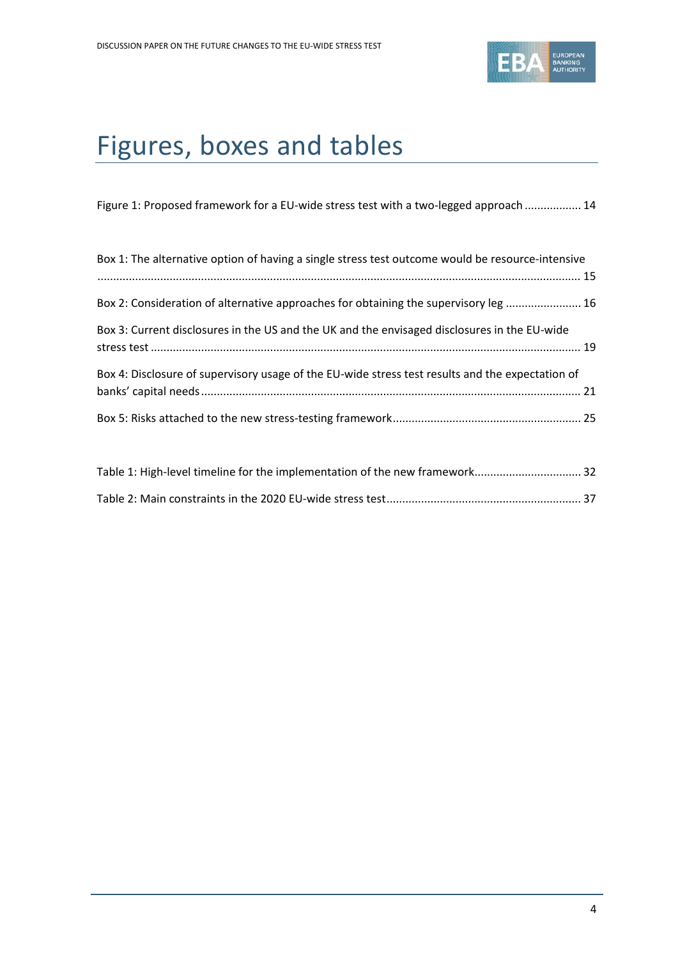

# Figures, boxes and tables

|  |  | Figure 1: Proposed framework for a EU-wide stress test with a two-legged approach  14 |
|--|--|---------------------------------------------------------------------------------------|
|  |  |                                                                                       |

| Box 1: The alternative option of having a single stress test outcome would be resource-intensive |  |
|--------------------------------------------------------------------------------------------------|--|
|                                                                                                  |  |
| Box 2: Consideration of alternative approaches for obtaining the supervisory leg  16             |  |
| Box 3: Current disclosures in the US and the UK and the envisaged disclosures in the EU-wide     |  |
| Box 4: Disclosure of supervisory usage of the EU-wide stress test results and the expectation of |  |
|                                                                                                  |  |

| Table 1: High-level timeline for the implementation of the new framework 32 |  |
|-----------------------------------------------------------------------------|--|
|                                                                             |  |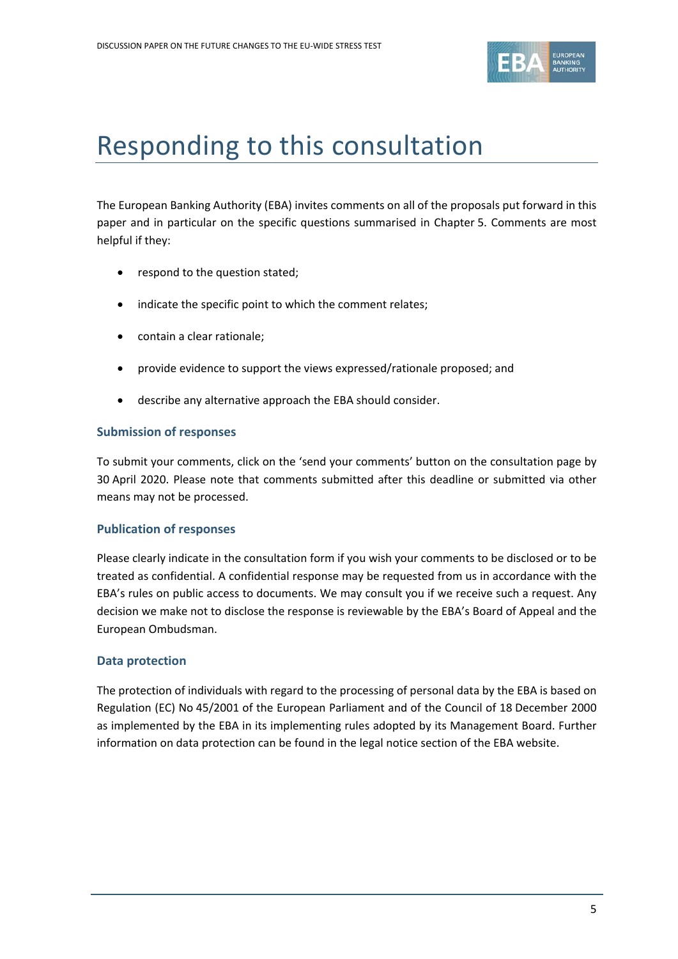

# <span id="page-4-0"></span>Responding to this consultation

The European Banking Authority (EBA) invites comments on all of the proposals put forward in this paper and in particular on the specific questions summarised in Chapter 5. Comments are most helpful if they:

- respond to the question stated;
- indicate the specific point to which the comment relates;
- contain a clear rationale;
- provide evidence to support the views expressed/rationale proposed; and
- describe any alternative approach the EBA should consider.

### **Submission of responses**

To submit your comments, click on the 'send your comments' button on the consultation page by 30 April 2020. Please note that comments submitted after this deadline or submitted via other means may not be processed.

### **Publication of responses**

Please clearly indicate in the consultation form if you wish your comments to be disclosed or to be treated as confidential. A confidential response may be requested from us in accordance with the EBA's rules on public access to documents. We may consult you if we receive such a request. Any decision we make not to disclose the response is reviewable by the EBA's Board of Appeal and the European Ombudsman.

### **Data protection**

The protection of individuals with regard to the processing of personal data by the EBA is based on Regulation (EC) No 45/2001 of the European Parliament and of the Council of 18 December 2000 as implemented by the EBA in its implementing rules adopted by its Management Board. Further information on data protection can be found in the legal notice section of the EBA website.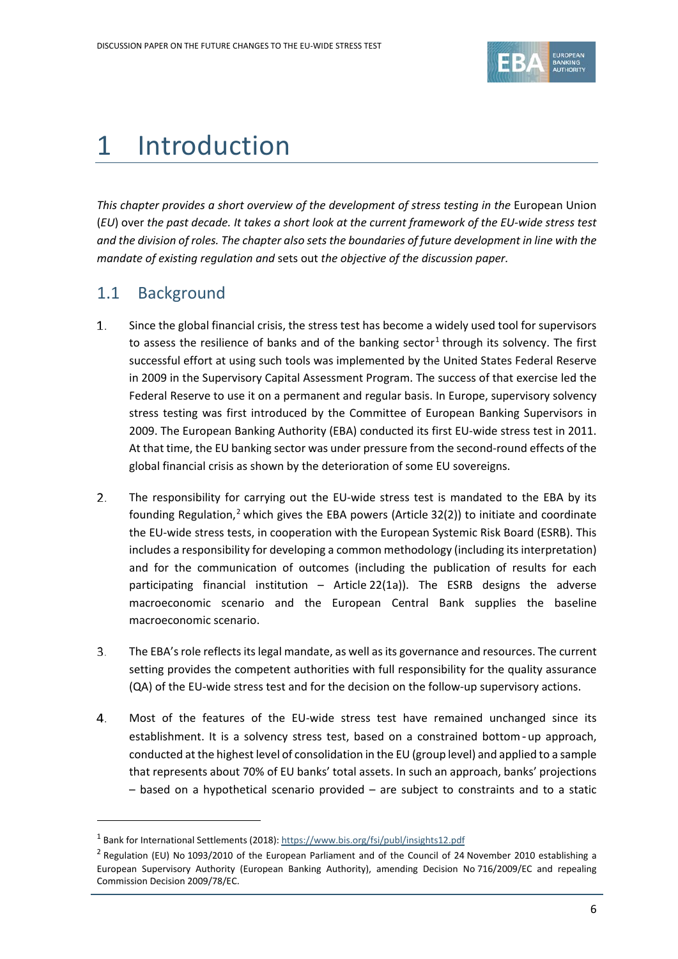

# <span id="page-5-0"></span>1 Introduction

This chapter provides a short overview of the development of stress testing in the European Union (*EU*) over *the past decade. It takes a short look at the current framework of the EU-wide stress test and the division of roles. The chapter also sets the boundaries of future development in line with the mandate of existing regulation and* sets out *the objective of the discussion paper.*

## <span id="page-5-1"></span>1.1 Background

 $\overline{a}$ 

- 1. Since the global financial crisis, the stress test has become a widely used tool for supervisors to assess the resilience of banks and of the banking sector<sup>[1](#page-5-2)</sup> through its solvency. The first successful effort at using such tools was implemented by the United States Federal Reserve in 2009 in the Supervisory Capital Assessment Program. The success of that exercise led the Federal Reserve to use it on a permanent and regular basis. In Europe, supervisory solvency stress testing was first introduced by the Committee of European Banking Supervisors in 2009. The European Banking Authority (EBA) conducted its first EU-wide stress test in 2011. At that time, the EU banking sector was under pressure from the second-round effects of the global financial crisis as shown by the deterioration of some EU sovereigns.
- $2.$ The responsibility for carrying out the EU-wide stress test is mandated to the EBA by its founding Regulation,<sup>[2](#page-5-3)</sup> which gives the EBA powers (Article 32(2)) to initiate and coordinate the EU-wide stress tests, in cooperation with the European Systemic Risk Board (ESRB). This includes a responsibility for developing a common methodology (including its interpretation) and for the communication of outcomes (including the publication of results for each participating financial institution – Article 22(1a)). The ESRB designs the adverse macroeconomic scenario and the European Central Bank supplies the baseline macroeconomic scenario.
- 3. The EBA's role reflects its legal mandate, as well as its governance and resources. The current setting provides the competent authorities with full responsibility for the quality assurance (QA) of the EU-wide stress test and for the decision on the follow-up supervisory actions.
- 4. Most of the features of the EU-wide stress test have remained unchanged since its establishment. It is a solvency stress test, based on a constrained bottom‐up approach, conducted at the highest level of consolidation in the EU (group level) and applied to a sample that represents about 70% of EU banks' total assets. In such an approach, banks' projections – based on a hypothetical scenario provided – are subject to constraints and to a static

<span id="page-5-2"></span><sup>1</sup> Bank for International Settlements (2018)[: https://www.bis.org/fsi/publ/insights12.pdf](https://www.bis.org/fsi/publ/insights12.pdf)

<span id="page-5-3"></span><sup>&</sup>lt;sup>2</sup> Regulation (EU) No 1093/2010 of the European Parliament and of the Council of 24 November 2010 establishing a European Supervisory Authority (European Banking Authority), amending Decision No 716/2009/EC and repealing Commission Decision 2009/78/EC.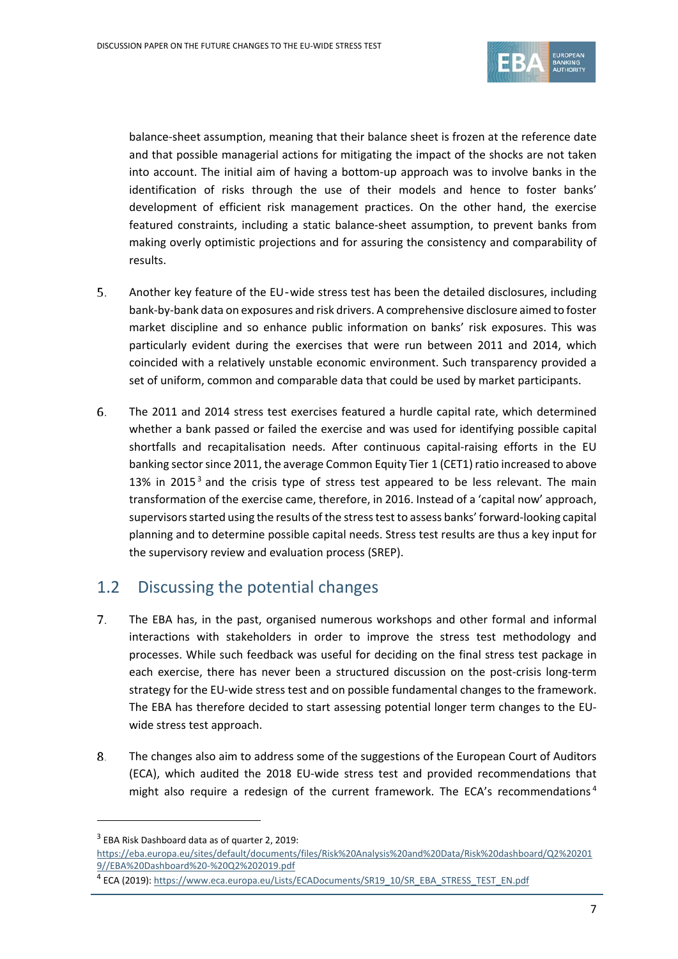

balance-sheet assumption, meaning that their balance sheet is frozen at the reference date and that possible managerial actions for mitigating the impact of the shocks are not taken into account. The initial aim of having a bottom-up approach was to involve banks in the identification of risks through the use of their models and hence to foster banks' development of efficient risk management practices. On the other hand, the exercise featured constraints, including a static balance-sheet assumption, to prevent banks from making overly optimistic projections and for assuring the consistency and comparability of results.

- 5. Another key feature of the EU‐wide stress test has been the detailed disclosures, including bank-by-bank data on exposures and risk drivers. A comprehensive disclosure aimed to foster market discipline and so enhance public information on banks' risk exposures. This was particularly evident during the exercises that were run between 2011 and 2014, which coincided with a relatively unstable economic environment. Such transparency provided a set of uniform, common and comparable data that could be used by market participants.
- 6. The 2011 and 2014 stress test exercises featured a hurdle capital rate, which determined whether a bank passed or failed the exercise and was used for identifying possible capital shortfalls and recapitalisation needs. After continuous capital-raising efforts in the EU banking sector since 2011, the average Common Equity Tier 1 (CET1) ratio increased to above 1[3](#page-6-1)% in 2015<sup>3</sup> and the crisis type of stress test appeared to be less relevant. The main transformation of the exercise came, therefore, in 2016. Instead of a 'capital now' approach, supervisors started using the results of the stress test to assess banks' forward-looking capital planning and to determine possible capital needs. Stress test results are thus a key input for the supervisory review and evaluation process (SREP).

# <span id="page-6-0"></span>1.2 Discussing the potential changes

- 7. The EBA has, in the past, organised numerous workshops and other formal and informal interactions with stakeholders in order to improve the stress test methodology and processes. While such feedback was useful for deciding on the final stress test package in each exercise, there has never been a structured discussion on the post-crisis long-term strategy for the EU-wide stress test and on possible fundamental changes to the framework. The EBA has therefore decided to start assessing potential longer term changes to the EUwide stress test approach.
- 8. The changes also aim to address some of the suggestions of the European Court of Auditors (ECA), which audited the 2018 EU-wide stress test and provided recommendations that might also require a redesign of the current framework. The ECA's recommendations<sup>[4](#page-6-2)</sup>

 $\overline{a}$ 

<span id="page-6-1"></span> $3$  EBA Risk Dashboard data as of quarter 2, 2019:

[https://eba.europa.eu/sites/default/documents/files/Risk%20Analysis%20and%20Data/Risk%20dashboard/Q2%20201](https://eba.europa.eu/sites/default/documents/files/Risk%20Analysis%20and%20Data/Risk%20dashboard/Q2%202019/EBA%20Dashboard%20-%20Q2%202019.pdf) [9//EBA%20Dashboard%20-%20Q2%202019.pdf](https://eba.europa.eu/sites/default/documents/files/Risk%20Analysis%20and%20Data/Risk%20dashboard/Q2%202019/EBA%20Dashboard%20-%20Q2%202019.pdf)

<span id="page-6-2"></span><sup>4</sup> ECA (2019)[: https://www.eca.europa.eu/Lists/ECADocuments/SR19\\_10/SR\\_EBA\\_STRESS\\_TEST\\_EN.pdf](https://www.eca.europa.eu/Lists/ECADocuments/SR19_10/SR_EBA_STRESS_TEST_EN.pdf)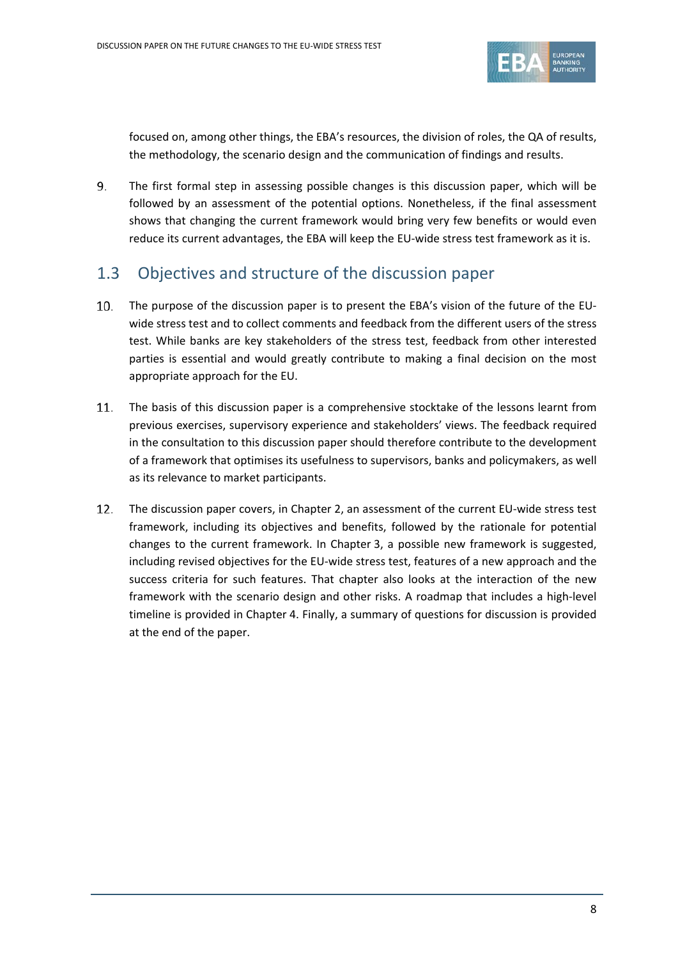

focused on, among other things, the EBA's resources, the division of roles, the QA of results, the methodology, the scenario design and the communication of findings and results.

9. The first formal step in assessing possible changes is this discussion paper, which will be followed by an assessment of the potential options. Nonetheless, if the final assessment shows that changing the current framework would bring very few benefits or would even reduce its current advantages, the EBA will keep the EU-wide stress test framework as it is.

## <span id="page-7-0"></span>1.3 Objectives and structure of the discussion paper

- The purpose of the discussion paper is to present the EBA's vision of the future of the EU- $10.$ wide stress test and to collect comments and feedback from the different users of the stress test. While banks are key stakeholders of the stress test, feedback from other interested parties is essential and would greatly contribute to making a final decision on the most appropriate approach for the EU.
- The basis of this discussion paper is a comprehensive stocktake of the lessons learnt from 11. previous exercises, supervisory experience and stakeholders' views. The feedback required in the consultation to this discussion paper should therefore contribute to the development of a framework that optimises its usefulness to supervisors, banks and policymakers, as well as its relevance to market participants.
- 12. The discussion paper covers, in Chapter 2, an assessment of the current EU-wide stress test framework, including its objectives and benefits, followed by the rationale for potential changes to the current framework. In Chapter 3, a possible new framework is suggested, including revised objectives for the EU-wide stress test, features of a new approach and the success criteria for such features. That chapter also looks at the interaction of the new framework with the scenario design and other risks. A roadmap that includes a high-level timeline is provided in Chapter 4. Finally, a summary of questions for discussion is provided at the end of the paper.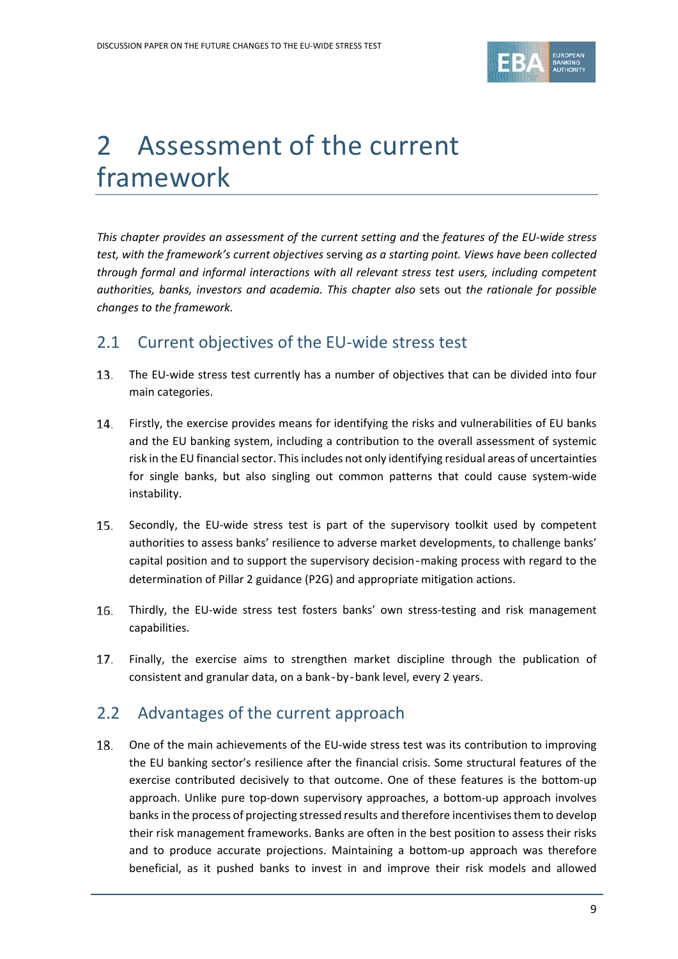

# <span id="page-8-0"></span>2 Assessment of the current framework

*This chapter provides an assessment of the current setting and* the *features of the EU-wide stress test, with the framework's current objectives* serving *as a starting point. Views have been collected through formal and informal interactions with all relevant stress test users, including competent authorities, banks, investors and academia. This chapter also* sets out *the rationale for possible changes to the framework.*

## <span id="page-8-1"></span>2.1 Current objectives of the EU-wide stress test

- $13.$ The EU-wide stress test currently has a number of objectives that can be divided into four main categories.
- Firstly, the exercise provides means for identifying the risks and vulnerabilities of EU banks 14. and the EU banking system, including a contribution to the overall assessment of systemic risk in the EU financial sector. This includes not only identifying residual areas of uncertainties for single banks, but also singling out common patterns that could cause system-wide instability.
- 15. Secondly, the EU-wide stress test is part of the supervisory toolkit used by competent authorities to assess banks' resilience to adverse market developments, to challenge banks' capital position and to support the supervisory decision‐making process with regard to the determination of Pillar 2 guidance (P2G) and appropriate mitigation actions.
- 16. Thirdly, the EU-wide stress test fosters banks' own stress-testing and risk management capabilities.
- $17.$ Finally, the exercise aims to strengthen market discipline through the publication of consistent and granular data, on a bank‐by‐bank level, every 2 years.

# <span id="page-8-2"></span>2.2 Advantages of the current approach

18. One of the main achievements of the EU-wide stress test was its contribution to improving the EU banking sector's resilience after the financial crisis. Some structural features of the exercise contributed decisively to that outcome. One of these features is the bottom-up approach. Unlike pure top-down supervisory approaches, a bottom-up approach involves banks in the process of projecting stressed results and therefore incentivisesthem to develop their risk management frameworks. Banks are often in the best position to assess their risks and to produce accurate projections. Maintaining a bottom-up approach was therefore beneficial, as it pushed banks to invest in and improve their risk models and allowed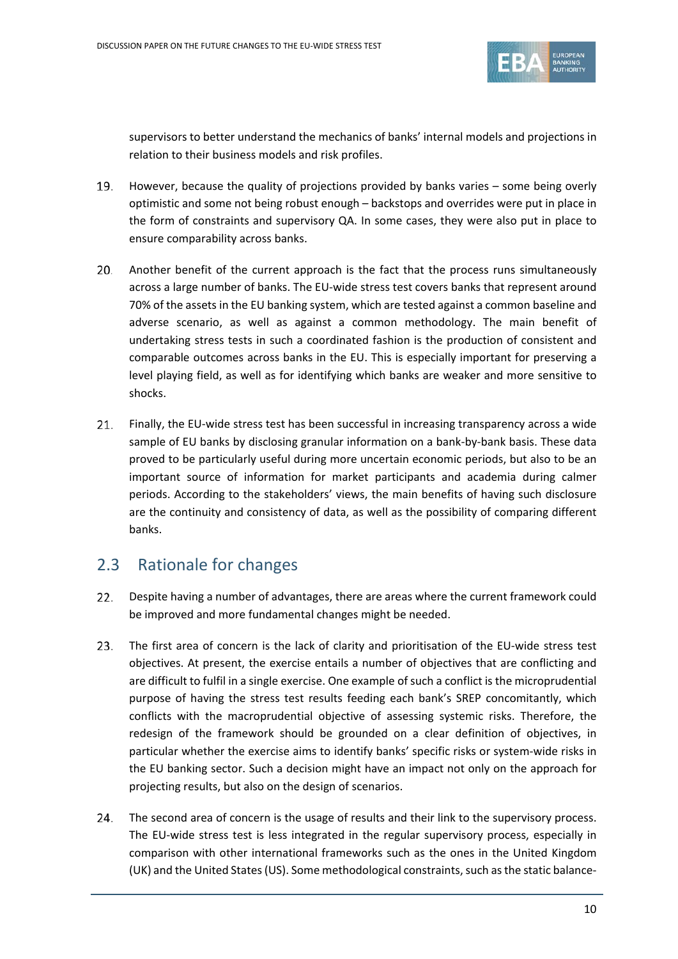

supervisors to better understand the mechanics of banks' internal models and projections in relation to their business models and risk profiles.

- However, because the quality of projections provided by banks varies some being overly optimistic and some not being robust enough – backstops and overrides were put in place in the form of constraints and supervisory QA. In some cases, they were also put in place to ensure comparability across banks.
- 20. Another benefit of the current approach is the fact that the process runs simultaneously across a large number of banks. The EU-wide stress test covers banks that represent around 70% of the assets in the EU banking system, which are tested against a common baseline and adverse scenario, as well as against a common methodology. The main benefit of undertaking stress tests in such a coordinated fashion is the production of consistent and comparable outcomes across banks in the EU. This is especially important for preserving a level playing field, as well as for identifying which banks are weaker and more sensitive to shocks.
- $21.$ Finally, the EU-wide stress test has been successful in increasing transparency across a wide sample of EU banks by disclosing granular information on a bank-by-bank basis. These data proved to be particularly useful during more uncertain economic periods, but also to be an important source of information for market participants and academia during calmer periods. According to the stakeholders' views, the main benefits of having such disclosure are the continuity and consistency of data, as well as the possibility of comparing different banks.

# <span id="page-9-0"></span>2.3 Rationale for changes

- $22.$ Despite having a number of advantages, there are areas where the current framework could be improved and more fundamental changes might be needed.
- $23.$ The first area of concern is the lack of clarity and prioritisation of the EU-wide stress test objectives. At present, the exercise entails a number of objectives that are conflicting and are difficult to fulfil in a single exercise. One example of such a conflict is the microprudential purpose of having the stress test results feeding each bank's SREP concomitantly, which conflicts with the macroprudential objective of assessing systemic risks. Therefore, the redesign of the framework should be grounded on a clear definition of objectives, in particular whether the exercise aims to identify banks' specific risks or system-wide risks in the EU banking sector. Such a decision might have an impact not only on the approach for projecting results, but also on the design of scenarios.
- $24.$ The second area of concern is the usage of results and their link to the supervisory process. The EU-wide stress test is less integrated in the regular supervisory process, especially in comparison with other international frameworks such as the ones in the United Kingdom (UK) and the United States (US). Some methodological constraints, such as the static balance-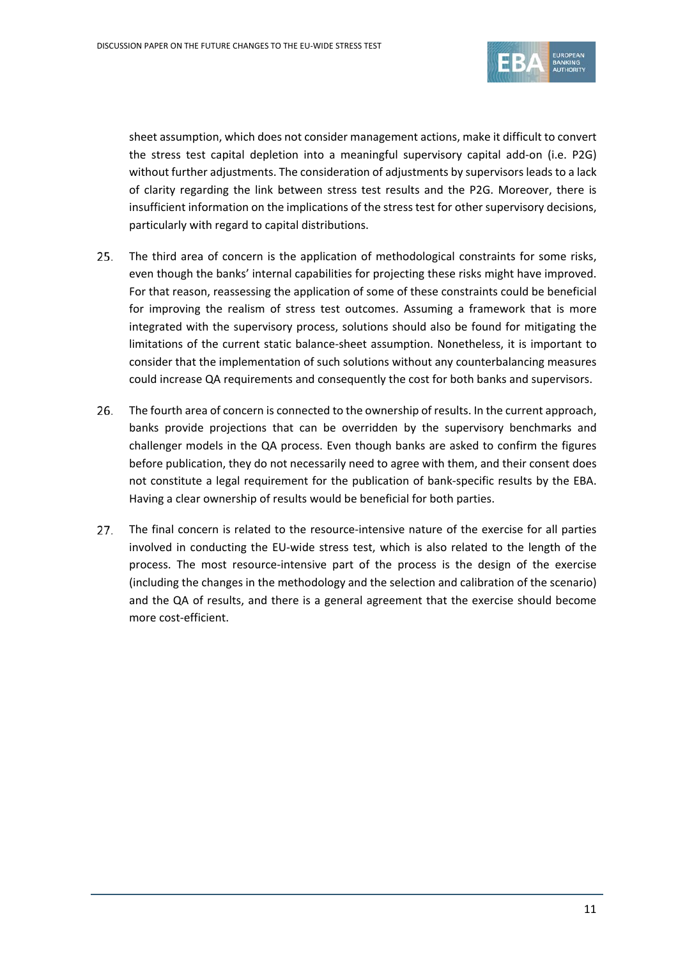

sheet assumption, which does not consider management actions, make it difficult to convert the stress test capital depletion into a meaningful supervisory capital add-on (i.e. P2G) without further adjustments. The consideration of adjustments by supervisors leads to a lack of clarity regarding the link between stress test results and the P2G. Moreover, there is insufficient information on the implications of the stress test for other supervisory decisions, particularly with regard to capital distributions.

- The third area of concern is the application of methodological constraints for some risks,  $25.$ even though the banks' internal capabilities for projecting these risks might have improved. For that reason, reassessing the application of some of these constraints could be beneficial for improving the realism of stress test outcomes. Assuming a framework that is more integrated with the supervisory process, solutions should also be found for mitigating the limitations of the current static balance-sheet assumption. Nonetheless, it is important to consider that the implementation of such solutions without any counterbalancing measures could increase QA requirements and consequently the cost for both banks and supervisors.
- 26. The fourth area of concern is connected to the ownership of results. In the current approach, banks provide projections that can be overridden by the supervisory benchmarks and challenger models in the QA process. Even though banks are asked to confirm the figures before publication, they do not necessarily need to agree with them, and their consent does not constitute a legal requirement for the publication of bank-specific results by the EBA. Having a clear ownership of results would be beneficial for both parties.
- $27.$ The final concern is related to the resource-intensive nature of the exercise for all parties involved in conducting the EU-wide stress test, which is also related to the length of the process. The most resource-intensive part of the process is the design of the exercise (including the changes in the methodology and the selection and calibration of the scenario) and the QA of results, and there is a general agreement that the exercise should become more cost-efficient.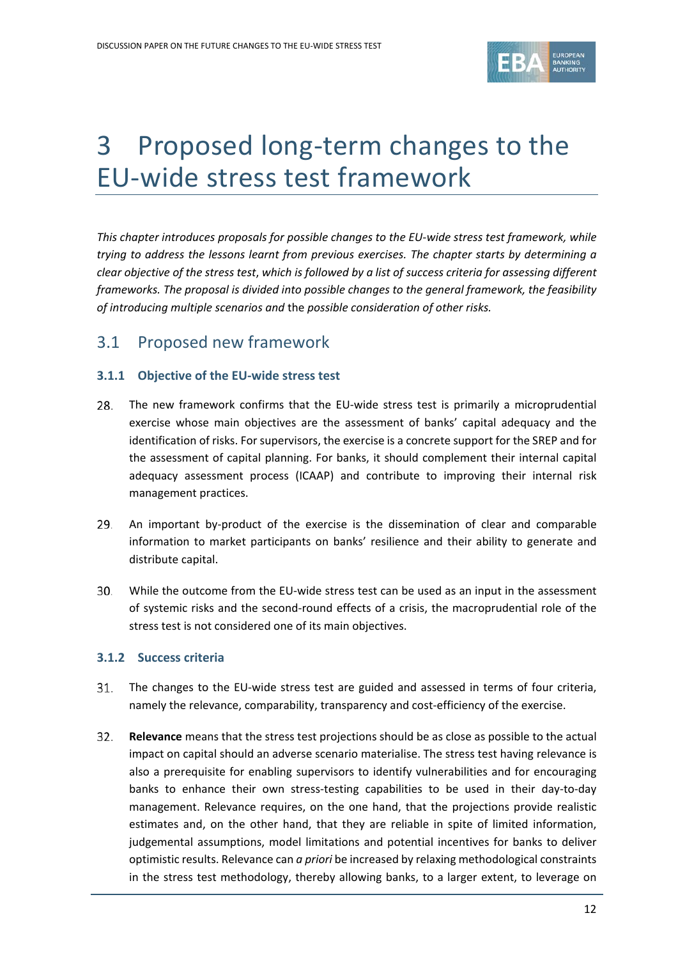

# <span id="page-11-0"></span>3 Proposed long-term changes to the EU-wide stress test framework

*This chapter introduces proposals for possible changes to the EU-wide stress test framework, while trying to address the lessons learnt from previous exercises. The chapter starts by determining a clear objective of the stress test*, *which is followed by a list of success criteria for assessing different frameworks. The proposal is divided into possible changes to the general framework, the feasibility of introducing multiple scenarios and* the *possible consideration of other risks.*

## <span id="page-11-1"></span>3.1 Proposed new framework

### <span id="page-11-2"></span>**3.1.1 Objective of the EU-wide stress test**

- 28. The new framework confirms that the EU-wide stress test is primarily a microprudential exercise whose main objectives are the assessment of banks' capital adequacy and the identification of risks. For supervisors, the exercise is a concrete support for the SREP and for the assessment of capital planning. For banks, it should complement their internal capital adequacy assessment process (ICAAP) and contribute to improving their internal risk management practices.
- 29. An important by-product of the exercise is the dissemination of clear and comparable information to market participants on banks' resilience and their ability to generate and distribute capital.
- 30. While the outcome from the EU-wide stress test can be used as an input in the assessment of systemic risks and the second-round effects of a crisis, the macroprudential role of the stress test is not considered one of its main objectives.

### <span id="page-11-3"></span>**3.1.2 Success criteria**

- 31. The changes to the EU-wide stress test are guided and assessed in terms of four criteria, namely the relevance, comparability, transparency and cost-efficiency of the exercise.
- 32. **Relevance** means that the stress test projections should be as close as possible to the actual impact on capital should an adverse scenario materialise. The stress test having relevance is also a prerequisite for enabling supervisors to identify vulnerabilities and for encouraging banks to enhance their own stress-testing capabilities to be used in their day-to-day management. Relevance requires, on the one hand, that the projections provide realistic estimates and, on the other hand, that they are reliable in spite of limited information, judgemental assumptions, model limitations and potential incentives for banks to deliver optimistic results. Relevance can *a priori* be increased by relaxing methodological constraints in the stress test methodology, thereby allowing banks, to a larger extent, to leverage on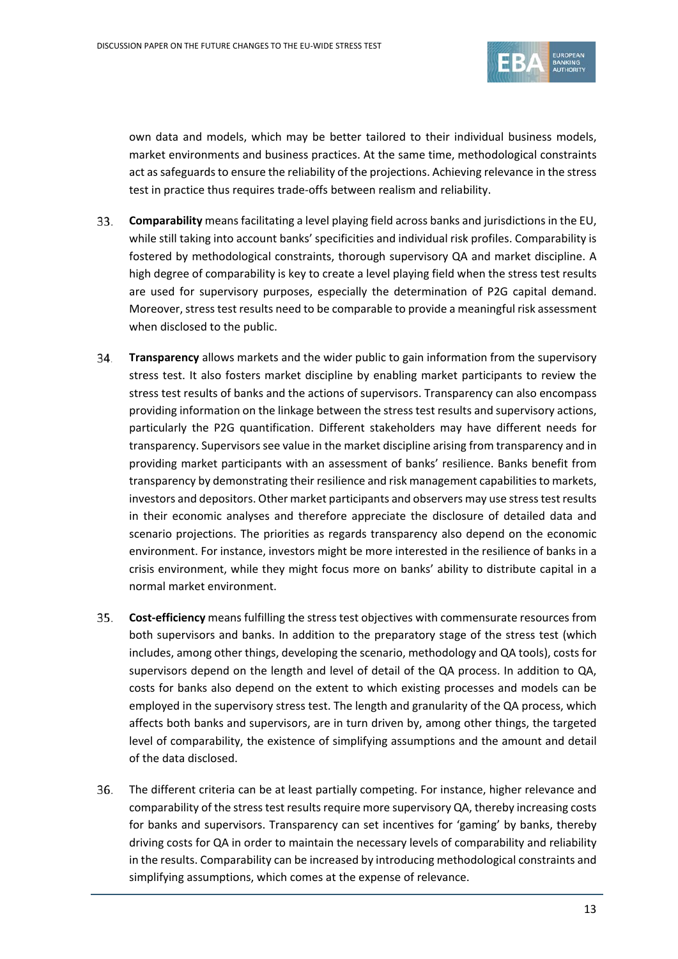

own data and models, which may be better tailored to their individual business models, market environments and business practices. At the same time, methodological constraints act as safeguards to ensure the reliability of the projections. Achieving relevance in the stress test in practice thus requires trade-offs between realism and reliability.

- 33. **Comparability** means facilitating a level playing field across banks and jurisdictions in the EU, while still taking into account banks' specificities and individual risk profiles. Comparability is fostered by methodological constraints, thorough supervisory QA and market discipline. A high degree of comparability is key to create a level playing field when the stress test results are used for supervisory purposes, especially the determination of P2G capital demand. Moreover, stress test results need to be comparable to provide a meaningful risk assessment when disclosed to the public.
- 34. **Transparency** allows markets and the wider public to gain information from the supervisory stress test. It also fosters market discipline by enabling market participants to review the stress test results of banks and the actions of supervisors. Transparency can also encompass providing information on the linkage between the stress test results and supervisory actions, particularly the P2G quantification. Different stakeholders may have different needs for transparency. Supervisors see value in the market discipline arising from transparency and in providing market participants with an assessment of banks' resilience. Banks benefit from transparency by demonstrating their resilience and risk management capabilities to markets, investors and depositors. Other market participants and observers may use stress test results in their economic analyses and therefore appreciate the disclosure of detailed data and scenario projections. The priorities as regards transparency also depend on the economic environment. For instance, investors might be more interested in the resilience of banks in a crisis environment, while they might focus more on banks' ability to distribute capital in a normal market environment.
- **Cost-efficiency** means fulfilling the stress test objectives with commensurate resources from both supervisors and banks. In addition to the preparatory stage of the stress test (which includes, among other things, developing the scenario, methodology and QA tools), costs for supervisors depend on the length and level of detail of the QA process. In addition to QA, costs for banks also depend on the extent to which existing processes and models can be employed in the supervisory stress test. The length and granularity of the QA process, which affects both banks and supervisors, are in turn driven by, among other things, the targeted level of comparability, the existence of simplifying assumptions and the amount and detail of the data disclosed.
- 36. The different criteria can be at least partially competing. For instance, higher relevance and comparability of the stress test results require more supervisory QA, thereby increasing costs for banks and supervisors. Transparency can set incentives for 'gaming' by banks, thereby driving costs for QA in order to maintain the necessary levels of comparability and reliability in the results. Comparability can be increased by introducing methodological constraints and simplifying assumptions, which comes at the expense of relevance.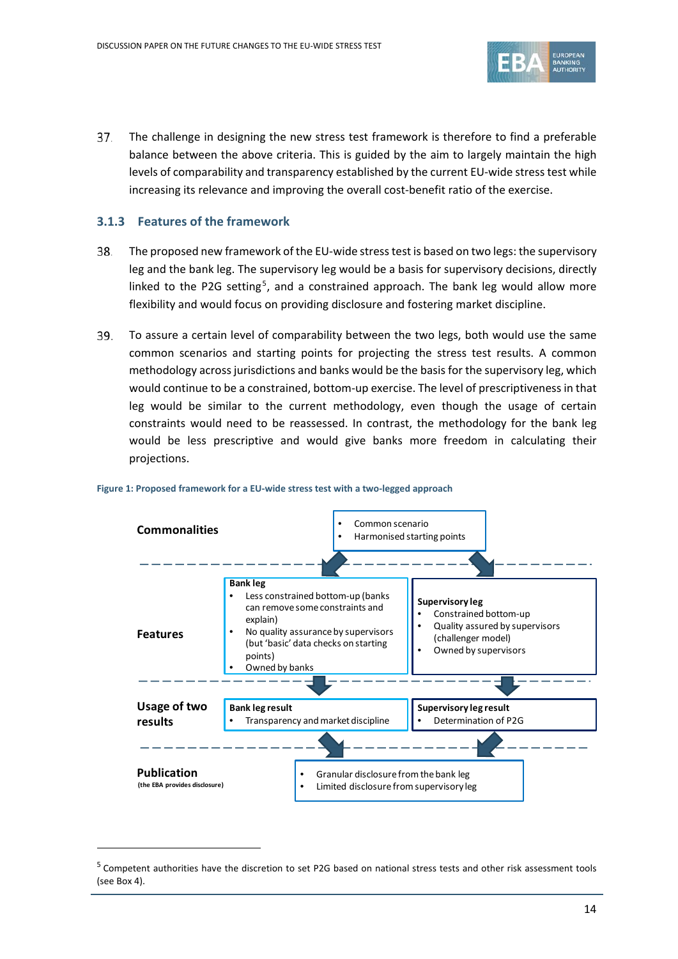

37. The challenge in designing the new stress test framework is therefore to find a preferable balance between the above criteria. This is guided by the aim to largely maintain the high levels of comparability and transparency established by the current EU-wide stress test while increasing its relevance and improving the overall cost-benefit ratio of the exercise.

#### <span id="page-13-0"></span>**3.1.3 Features of the framework**

 $\overline{a}$ 

- The proposed new framework of the EU-wide stress test is based on two legs: the supervisory 38. leg and the bank leg. The supervisory leg would be a basis for supervisory decisions, directly linked to the P2G setting<sup>[5](#page-13-2)</sup>, and a constrained approach. The bank leg would allow more flexibility and would focus on providing disclosure and fostering market discipline.
- 39. To assure a certain level of comparability between the two legs, both would use the same common scenarios and starting points for projecting the stress test results. A common methodology across jurisdictions and banks would be the basis for the supervisory leg, which would continue to be a constrained, bottom-up exercise. The level of prescriptiveness in that leg would be similar to the current methodology, even though the usage of certain constraints would need to be reassessed. In contrast, the methodology for the bank leg would be less prescriptive and would give banks more freedom in calculating their projections.



#### <span id="page-13-1"></span>**Figure 1: Proposed framework for a EU-wide stress test with a two-legged approach**

<span id="page-13-2"></span><sup>&</sup>lt;sup>5</sup> Competent authorities have the discretion to set P2G based on national stress tests and other risk assessment tools (see Box 4).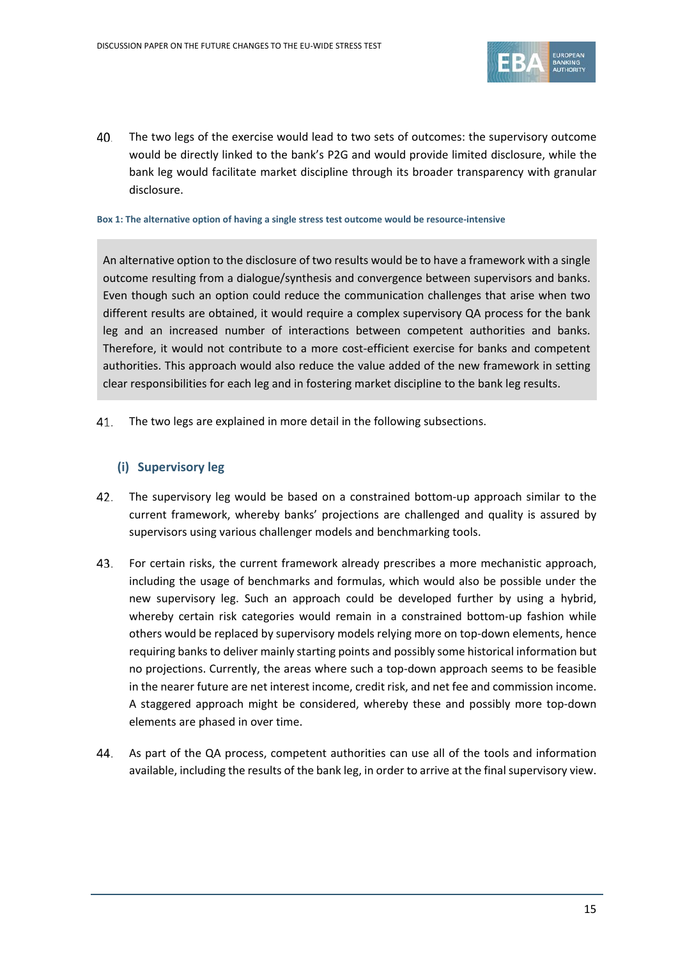

40. The two legs of the exercise would lead to two sets of outcomes: the supervisory outcome would be directly linked to the bank's P2G and would provide limited disclosure, while the bank leg would facilitate market discipline through its broader transparency with granular disclosure.

#### <span id="page-14-0"></span>**Box 1: The alternative option of having a single stress test outcome would be resource-intensive**

An alternative option to the disclosure of two results would be to have a framework with a single outcome resulting from a dialogue/synthesis and convergence between supervisors and banks. Even though such an option could reduce the communication challenges that arise when two different results are obtained, it would require a complex supervisory QA process for the bank leg and an increased number of interactions between competent authorities and banks. Therefore, it would not contribute to a more cost-efficient exercise for banks and competent authorities. This approach would also reduce the value added of the new framework in setting clear responsibilities for each leg and in fostering market discipline to the bank leg results.

41. The two legs are explained in more detail in the following subsections.

### **(i) Supervisory leg**

- The supervisory leg would be based on a constrained bottom-up approach similar to the current framework, whereby banks' projections are challenged and quality is assured by supervisors using various challenger models and benchmarking tools.
- 43. For certain risks, the current framework already prescribes a more mechanistic approach, including the usage of benchmarks and formulas, which would also be possible under the new supervisory leg. Such an approach could be developed further by using a hybrid, whereby certain risk categories would remain in a constrained bottom-up fashion while others would be replaced by supervisory models relying more on top-down elements, hence requiring banks to deliver mainly starting points and possibly some historical information but no projections. Currently, the areas where such a top-down approach seems to be feasible in the nearer future are net interest income, credit risk, and net fee and commission income. A staggered approach might be considered, whereby these and possibly more top-down elements are phased in over time.
- 44. As part of the QA process, competent authorities can use all of the tools and information available, including the results of the bank leg, in order to arrive at the final supervisory view.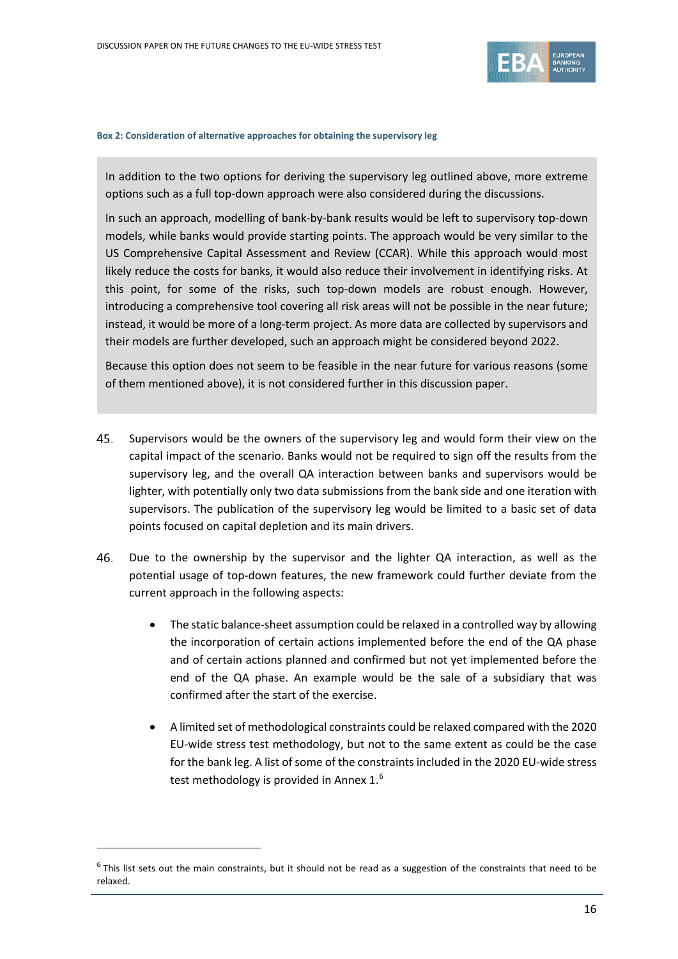

#### <span id="page-15-0"></span>**Box 2: Consideration of alternative approaches for obtaining the supervisory leg**

In addition to the two options for deriving the supervisory leg outlined above, more extreme options such as a full top-down approach were also considered during the discussions.

In such an approach, modelling of bank-by-bank results would be left to supervisory top-down models, while banks would provide starting points. The approach would be very similar to the US Comprehensive Capital Assessment and Review (CCAR). While this approach would most likely reduce the costs for banks, it would also reduce their involvement in identifying risks. At this point, for some of the risks, such top-down models are robust enough. However, introducing a comprehensive tool covering all risk areas will not be possible in the near future; instead, it would be more of a long-term project. As more data are collected by supervisors and their models are further developed, such an approach might be considered beyond 2022.

Because this option does not seem to be feasible in the near future for various reasons (some of them mentioned above), it is not considered further in this discussion paper.

- 45. Supervisors would be the owners of the supervisory leg and would form their view on the capital impact of the scenario. Banks would not be required to sign off the results from the supervisory leg, and the overall QA interaction between banks and supervisors would be lighter, with potentially only two data submissions from the bank side and one iteration with supervisors. The publication of the supervisory leg would be limited to a basic set of data points focused on capital depletion and its main drivers.
- 46. Due to the ownership by the supervisor and the lighter QA interaction, as well as the potential usage of top-down features, the new framework could further deviate from the current approach in the following aspects:
	- The static balance-sheet assumption could be relaxed in a controlled way by allowing the incorporation of certain actions implemented before the end of the QA phase and of certain actions planned and confirmed but not yet implemented before the end of the QA phase. An example would be the sale of a subsidiary that was confirmed after the start of the exercise.
	- A limited set of methodological constraints could be relaxed compared with the 2020 EU-wide stress test methodology, but not to the same extent as could be the case for the bank leg. A list of some of the constraints included in the 2020 EU-wide stress test methodology is provided in Annex 1. $^{6}$  $^{6}$  $^{6}$

 $\overline{a}$ 

<span id="page-15-1"></span> $6$  This list sets out the main constraints, but it should not be read as a suggestion of the constraints that need to be relaxed.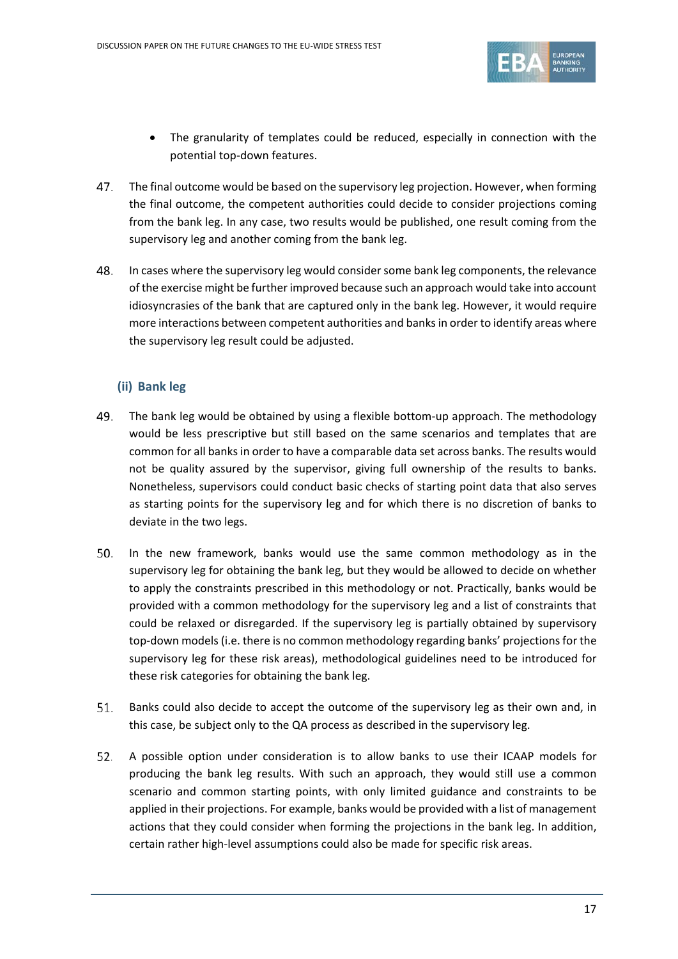

- The granularity of templates could be reduced, especially in connection with the potential top-down features.
- 47. The final outcome would be based on the supervisory leg projection. However, when forming the final outcome, the competent authorities could decide to consider projections coming from the bank leg. In any case, two results would be published, one result coming from the supervisory leg and another coming from the bank leg.
- 48. In cases where the supervisory leg would consider some bank leg components, the relevance of the exercise might be further improved because such an approach would take into account idiosyncrasies of the bank that are captured only in the bank leg. However, it would require more interactions between competent authorities and banks in order to identify areas where the supervisory leg result could be adjusted.

## **(ii) Bank leg**

- The bank leg would be obtained by using a flexible bottom-up approach. The methodology would be less prescriptive but still based on the same scenarios and templates that are common for all banks in order to have a comparable data set across banks. The results would not be quality assured by the supervisor, giving full ownership of the results to banks. Nonetheless, supervisors could conduct basic checks of starting point data that also serves as starting points for the supervisory leg and for which there is no discretion of banks to deviate in the two legs.
- 50. In the new framework, banks would use the same common methodology as in the supervisory leg for obtaining the bank leg, but they would be allowed to decide on whether to apply the constraints prescribed in this methodology or not. Practically, banks would be provided with a common methodology for the supervisory leg and a list of constraints that could be relaxed or disregarded. If the supervisory leg is partially obtained by supervisory top-down models (i.e. there is no common methodology regarding banks' projections for the supervisory leg for these risk areas), methodological guidelines need to be introduced for these risk categories for obtaining the bank leg.
- <span id="page-16-0"></span>51. Banks could also decide to accept the outcome of the supervisory leg as their own and, in this case, be subject only to the QA process as described in the supervisory leg.
- 52. A possible option under consideration is to allow banks to use their ICAAP models for producing the bank leg results. With such an approach, they would still use a common scenario and common starting points, with only limited guidance and constraints to be applied in their projections. For example, banks would be provided with a list of management actions that they could consider when forming the projections in the bank leg. In addition, certain rather high-level assumptions could also be made for specific risk areas.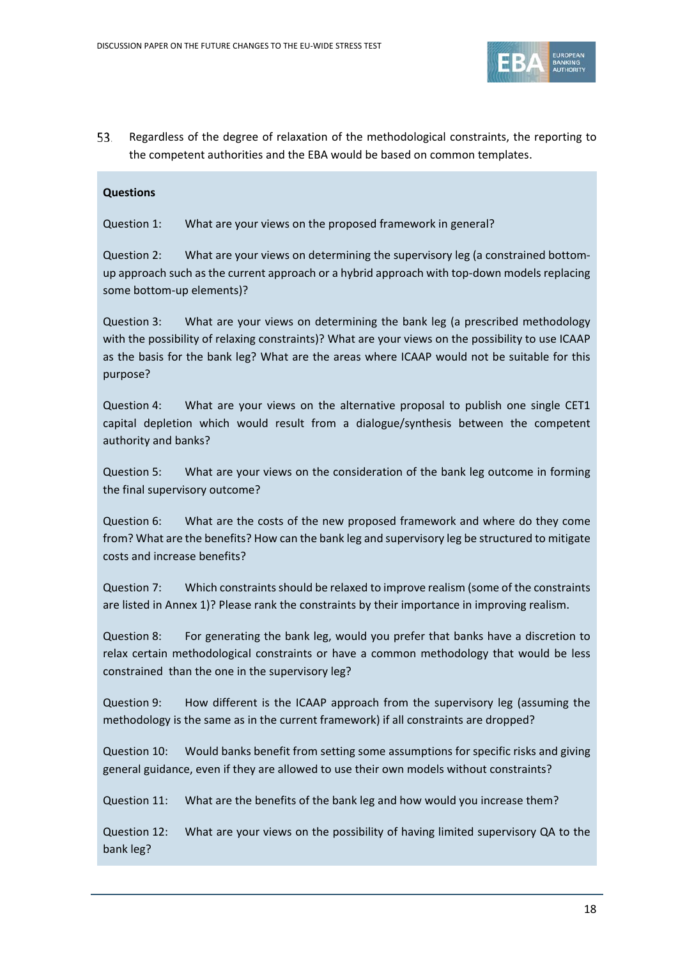

53. Regardless of the degree of relaxation of the methodological constraints, the reporting to the competent authorities and the EBA would be based on common templates.

#### **Questions**

Question 1: What are your views on the proposed framework in general?

Question 2: What are your views on determining the supervisory leg (a constrained bottomup approach such as the current approach or a hybrid approach with top-down models replacing some bottom-up elements)?

Question 3: What are your views on determining the bank leg (a prescribed methodology with the possibility of relaxing constraints)? What are your views on the possibility to use ICAAP as the basis for the bank leg? What are the areas where ICAAP would not be suitable for this purpose?

Question 4: What are your views on the alternative proposal to publish one single CET1 capital depletion which would result from a dialogue/synthesis between the competent authority and banks?

Question 5: What are your views on the consideration of the bank leg outcome in forming the final supervisory outcome?

Question 6: What are the costs of the new proposed framework and where do they come from? What are the benefits? How can the bank leg and supervisory leg be structured to mitigate costs and increase benefits?

Question 7: Which constraints should be relaxed to improve realism (some of the constraints are listed in Annex 1)? Please rank the constraints by their importance in improving realism.

Question 8: For generating the bank leg, would you prefer that banks have a discretion to relax certain methodological constraints or have a common methodology that would be less constrained than the one in the supervisory leg?

Question 9: How different is the ICAAP approach from the supervisory leg (assuming the methodology is the same as in the current framework) if all constraints are dropped?

Question 10: Would banks benefit from setting some assumptions for specific risks and giving general guidance, even if they are allowed to use their own models without constraints?

Question 11: What are the benefits of the bank leg and how would you increase them?

Question 12: What are your views on the possibility of having limited supervisory QA to the bank leg?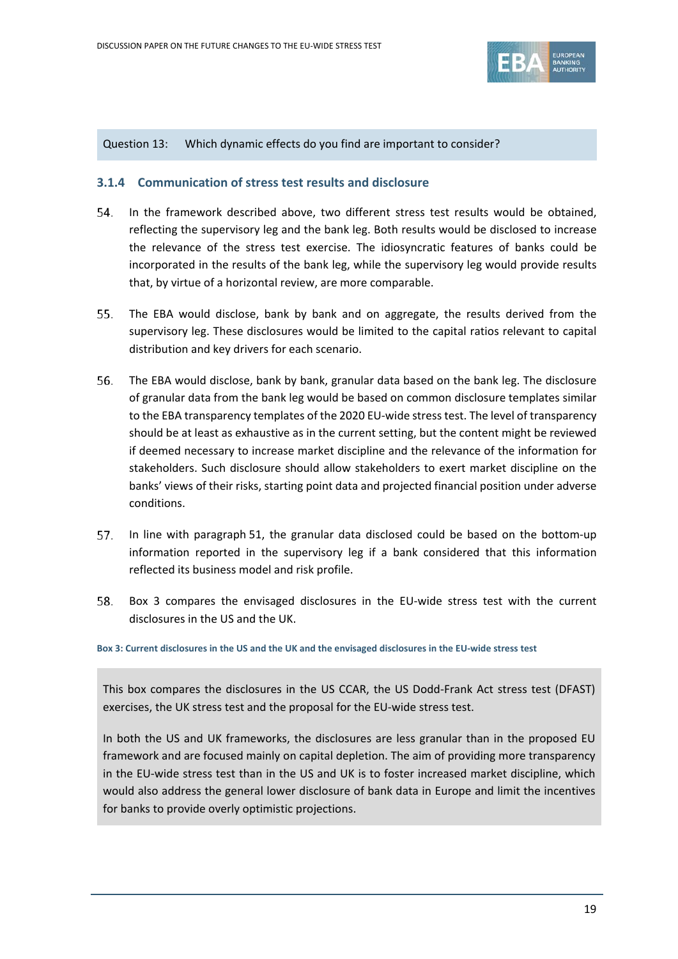

Question 13: Which dynamic effects do you find are important to consider?

### <span id="page-18-0"></span>**3.1.4 Communication of stress test results and disclosure**

- 54. In the framework described above, two different stress test results would be obtained, reflecting the supervisory leg and the bank leg. Both results would be disclosed to increase the relevance of the stress test exercise. The idiosyncratic features of banks could be incorporated in the results of the bank leg, while the supervisory leg would provide results that, by virtue of a horizontal review, are more comparable.
- 55. The EBA would disclose, bank by bank and on aggregate, the results derived from the supervisory leg. These disclosures would be limited to the capital ratios relevant to capital distribution and key drivers for each scenario.
- 56. The EBA would disclose, bank by bank, granular data based on the bank leg. The disclosure of granular data from the bank leg would be based on common disclosure templates similar to the EBA transparency templates of the 2020 EU-wide stress test. The level of transparency should be at least as exhaustive as in the current setting, but the content might be reviewed if deemed necessary to increase market discipline and the relevance of the information for stakeholders. Such disclosure should allow stakeholders to exert market discipline on the banks' views of their risks, starting point data and projected financial position under adverse conditions.
- In line with paragraph [51,](#page-16-0) the granular data disclosed could be based on the bottom-up 57. information reported in the supervisory leg if a bank considered that this information reflected its business model and risk profile.
- 58. [Box 3](#page-18-1) compares the envisaged disclosures in the EU-wide stress test with the current disclosures in the US and the UK.

<span id="page-18-1"></span>**Box 3: Current disclosures in the US and the UK and the envisaged disclosures in the EU-wide stress test**

This box compares the disclosures in the US CCAR, the US Dodd-Frank Act stress test (DFAST) exercises, the UK stress test and the proposal for the EU-wide stress test.

In both the US and UK frameworks, the disclosures are less granular than in the proposed EU framework and are focused mainly on capital depletion. The aim of providing more transparency in the EU-wide stress test than in the US and UK is to foster increased market discipline, which would also address the general lower disclosure of bank data in Europe and limit the incentives for banks to provide overly optimistic projections.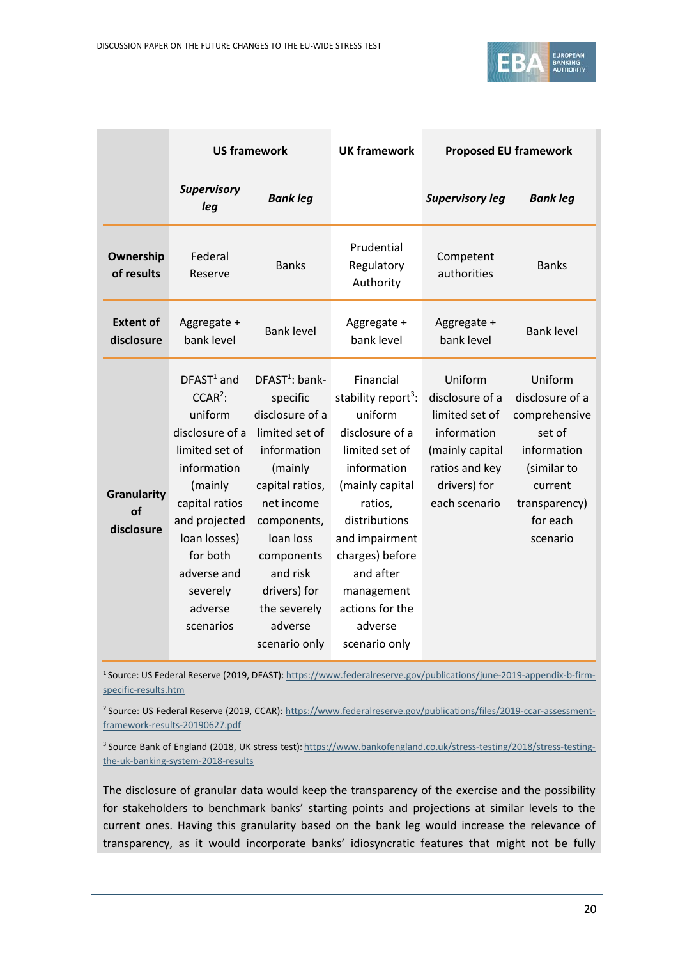

|                                        | <b>US framework</b>                                                                                                                                                                                                   |                                                                                                                                                                                                                                               | <b>UK framework</b>                                                                                                                                                                                                                                                       | <b>Proposed EU framework</b>                                                                                                      |                                                                                                                                         |
|----------------------------------------|-----------------------------------------------------------------------------------------------------------------------------------------------------------------------------------------------------------------------|-----------------------------------------------------------------------------------------------------------------------------------------------------------------------------------------------------------------------------------------------|---------------------------------------------------------------------------------------------------------------------------------------------------------------------------------------------------------------------------------------------------------------------------|-----------------------------------------------------------------------------------------------------------------------------------|-----------------------------------------------------------------------------------------------------------------------------------------|
|                                        | <b>Supervisory</b><br>leg                                                                                                                                                                                             | <b>Bank leg</b>                                                                                                                                                                                                                               |                                                                                                                                                                                                                                                                           | <b>Supervisory leg</b>                                                                                                            | <b>Bank leg</b>                                                                                                                         |
| Ownership<br>of results                | Federal<br>Reserve                                                                                                                                                                                                    | <b>Banks</b>                                                                                                                                                                                                                                  | Prudential<br>Regulatory<br>Authority                                                                                                                                                                                                                                     | Competent<br>authorities                                                                                                          | <b>Banks</b>                                                                                                                            |
| <b>Extent of</b><br>disclosure         | Aggregate +<br>bank level                                                                                                                                                                                             | <b>Bank level</b>                                                                                                                                                                                                                             | Aggregate +<br>bank level                                                                                                                                                                                                                                                 | Aggregate +<br>bank level                                                                                                         | <b>Bank level</b>                                                                                                                       |
| <b>Granularity</b><br>of<br>disclosure | $DFAST1$ and<br>$CCAR2$ :<br>uniform<br>disclosure of a<br>limited set of<br>information<br>(mainly<br>capital ratios<br>and projected<br>loan losses)<br>for both<br>adverse and<br>severely<br>adverse<br>scenarios | $DFAST1: bank-$<br>specific<br>disclosure of a<br>limited set of<br>information<br>(mainly<br>capital ratios,<br>net income<br>components,<br>loan loss<br>components<br>and risk<br>drivers) for<br>the severely<br>adverse<br>scenario only | Financial<br>stability report <sup>3</sup> :<br>uniform<br>disclosure of a<br>limited set of<br>information<br>(mainly capital<br>ratios,<br>distributions<br>and impairment<br>charges) before<br>and after<br>management<br>actions for the<br>adverse<br>scenario only | Uniform<br>disclosure of a<br>limited set of<br>information<br>(mainly capital<br>ratios and key<br>drivers) for<br>each scenario | Uniform<br>disclosure of a<br>comprehensive<br>set of<br>information<br>(similar to<br>current<br>transparency)<br>for each<br>scenario |

1 Source: US Federal Reserve (2019, DFAST)[: https://www.federalreserve.gov/publications/june-2019-appendix-b-firm](https://www.federalreserve.gov/publications/june-2019-appendix-b-firm-specific-results.htm)[specific-results.htm](https://www.federalreserve.gov/publications/june-2019-appendix-b-firm-specific-results.htm)

<sup>2</sup> Source: US Federal Reserve (2019, CCAR): [https://www.federalreserve.gov/publications/files/2019-ccar-assessment](https://www.federalreserve.gov/publications/files/2019-ccar-assessment-framework-results-20190627.pdf)[framework-results-20190627.pdf](https://www.federalreserve.gov/publications/files/2019-ccar-assessment-framework-results-20190627.pdf)

<sup>3</sup> Source Bank of England (2018, UK stress test): [https://www.bankofengland.co.uk/stress-testing/2018/stress-testing](https://www.bankofengland.co.uk/stress-testing/2018/stress-testing-the-uk-banking-system-2018-results)[the-uk-banking-system-2018-results](https://www.bankofengland.co.uk/stress-testing/2018/stress-testing-the-uk-banking-system-2018-results)

The disclosure of granular data would keep the transparency of the exercise and the possibility for stakeholders to benchmark banks' starting points and projections at similar levels to the current ones. Having this granularity based on the bank leg would increase the relevance of transparency, as it would incorporate banks' idiosyncratic features that might not be fully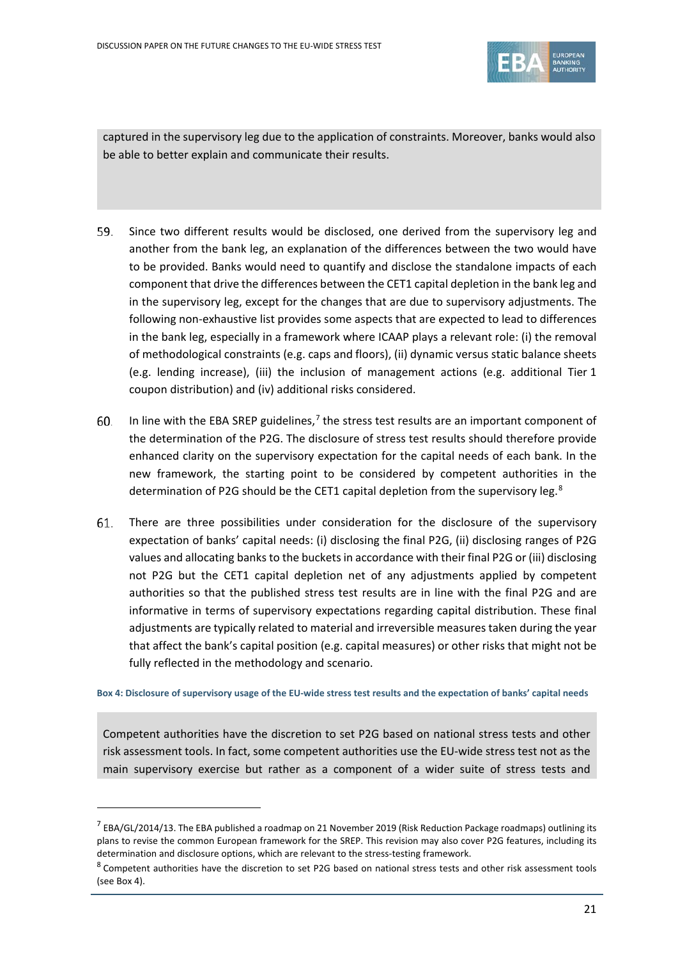

captured in the supervisory leg due to the application of constraints. Moreover, banks would also be able to better explain and communicate their results.

- 59. Since two different results would be disclosed, one derived from the supervisory leg and another from the bank leg, an explanation of the differences between the two would have to be provided. Banks would need to quantify and disclose the standalone impacts of each component that drive the differences between the CET1 capital depletion in the bank leg and in the supervisory leg, except for the changes that are due to supervisory adjustments. The following non-exhaustive list provides some aspects that are expected to lead to differences in the bank leg, especially in a framework where ICAAP plays a relevant role: (i) the removal of methodological constraints (e.g. caps and floors), (ii) dynamic versus static balance sheets (e.g. lending increase), (iii) the inclusion of management actions (e.g. additional Tier 1 coupon distribution) and (iv) additional risks considered.
- In line with the EBA SREP guidelines,<sup>[7](#page-20-1)</sup> the stress test results are an important component of 60. the determination of the P2G. The disclosure of stress test results should therefore provide enhanced clarity on the supervisory expectation for the capital needs of each bank. In the new framework, the starting point to be considered by competent authorities in the determination of P2G should be the CET1 capital depletion from the supervisory leg.<sup>[8](#page-20-2)</sup>
- 61. There are three possibilities under consideration for the disclosure of the supervisory expectation of banks' capital needs: (i) disclosing the final P2G, (ii) disclosing ranges of P2G values and allocating banks to the buckets in accordance with their final P2G or (iii) disclosing not P2G but the CET1 capital depletion net of any adjustments applied by competent authorities so that the published stress test results are in line with the final P2G and are informative in terms of supervisory expectations regarding capital distribution. These final adjustments are typically related to material and irreversible measures taken during the year that affect the bank's capital position (e.g. capital measures) or other risks that might not be fully reflected in the methodology and scenario.

<span id="page-20-0"></span>**Box 4: Disclosure of supervisory usage of the EU-wide stress test results and the expectation of banks' capital needs** 

Competent authorities have the discretion to set P2G based on national stress tests and other risk assessment tools. In fact, some competent authorities use the EU-wide stress test not as the main supervisory exercise but rather as a component of a wider suite of stress tests and

 $\overline{a}$ 

<span id="page-20-1"></span> $^7$  EBA/GL/2014/13. The EBA published a roadmap on 21 November 2019 (Risk Reduction Package roadmaps) outlining its plans to revise the common European framework for the SREP. This revision may also cover P2G features, including its determination and disclosure options, which are relevant to the stress-testing framework.

<span id="page-20-2"></span> $8$  Competent authorities have the discretion to set P2G based on national stress tests and other risk assessment tools (see Box 4).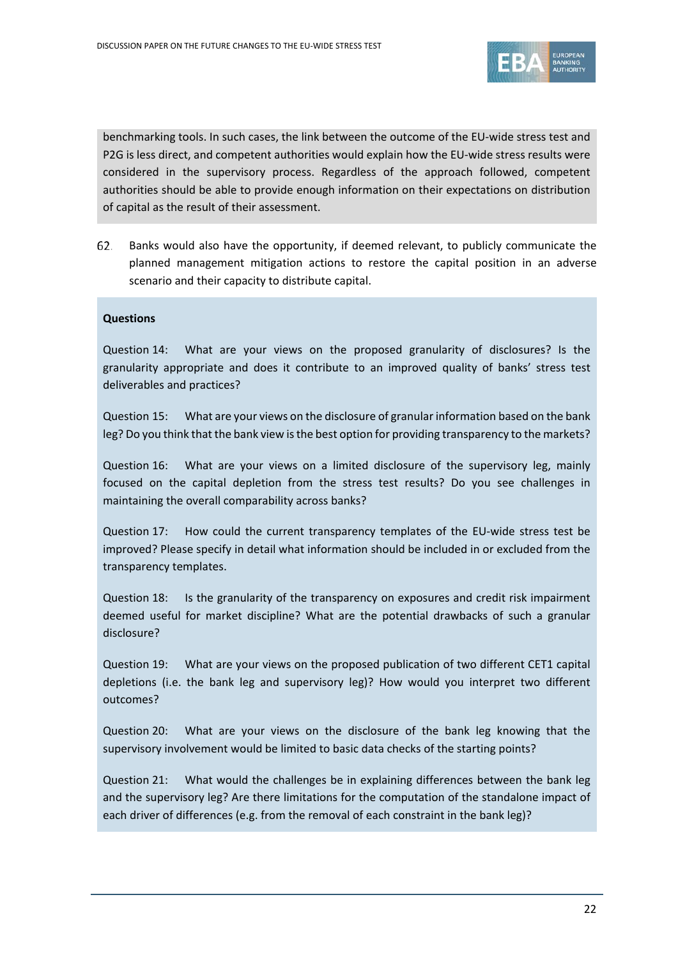

benchmarking tools. In such cases, the link between the outcome of the EU-wide stress test and P2G is less direct, and competent authorities would explain how the EU-wide stress results were considered in the supervisory process. Regardless of the approach followed, competent authorities should be able to provide enough information on their expectations on distribution of capital as the result of their assessment.

Banks would also have the opportunity, if deemed relevant, to publicly communicate the 62. planned management mitigation actions to restore the capital position in an adverse scenario and their capacity to distribute capital.

#### **Questions**

Question 14: What are your views on the proposed granularity of disclosures? Is the granularity appropriate and does it contribute to an improved quality of banks' stress test deliverables and practices?

Question 15: What are your views on the disclosure of granular information based on the bank leg? Do you think that the bank view is the best option for providing transparency to the markets?

Question 16: What are your views on a limited disclosure of the supervisory leg, mainly focused on the capital depletion from the stress test results? Do you see challenges in maintaining the overall comparability across banks?

Question 17: How could the current transparency templates of the EU-wide stress test be improved? Please specify in detail what information should be included in or excluded from the transparency templates.

Question 18: Is the granularity of the transparency on exposures and credit risk impairment deemed useful for market discipline? What are the potential drawbacks of such a granular disclosure?

Question 19: What are your views on the proposed publication of two different CET1 capital depletions (i.e. the bank leg and supervisory leg)? How would you interpret two different outcomes?

Question 20: What are your views on the disclosure of the bank leg knowing that the supervisory involvement would be limited to basic data checks of the starting points?

Question 21: What would the challenges be in explaining differences between the bank leg and the supervisory leg? Are there limitations for the computation of the standalone impact of each driver of differences (e.g. from the removal of each constraint in the bank leg)?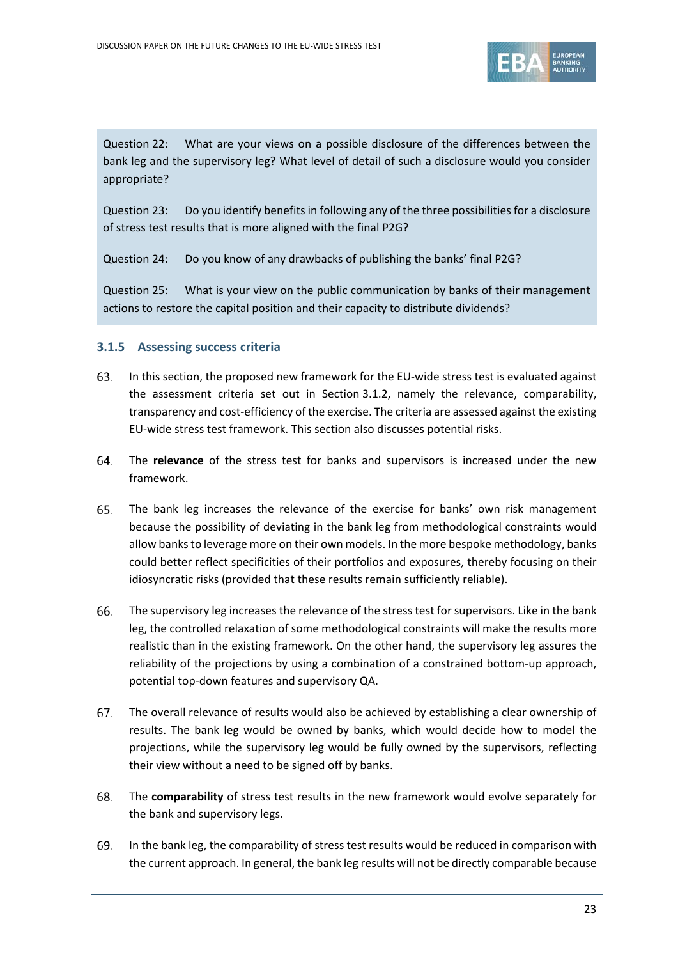

Question 22: What are your views on a possible disclosure of the differences between the bank leg and the supervisory leg? What level of detail of such a disclosure would you consider appropriate?

Question 23: Do you identify benefits in following any of the three possibilities for a disclosure of stress test results that is more aligned with the final P2G?

Question 24: Do you know of any drawbacks of publishing the banks' final P2G?

Question 25: What is your view on the public communication by banks of their management actions to restore the capital position and their capacity to distribute dividends?

### <span id="page-22-0"></span>**3.1.5 Assessing success criteria**

- 63. In this section, the proposed new framework for the EU-wide stress test is evaluated against the assessment criteria set out in Section [3.1.2,](#page-11-3) namely the relevance, comparability, transparency and cost-efficiency of the exercise. The criteria are assessed against the existing EU-wide stress test framework. This section also discusses potential risks.
- 64. The **relevance** of the stress test for banks and supervisors is increased under the new framework.
- 65. The bank leg increases the relevance of the exercise for banks' own risk management because the possibility of deviating in the bank leg from methodological constraints would allow banks to leverage more on their own models. In the more bespoke methodology, banks could better reflect specificities of their portfolios and exposures, thereby focusing on their idiosyncratic risks (provided that these results remain sufficiently reliable).
- 66. The supervisory leg increases the relevance of the stress test for supervisors. Like in the bank leg, the controlled relaxation of some methodological constraints will make the results more realistic than in the existing framework. On the other hand, the supervisory leg assures the reliability of the projections by using a combination of a constrained bottom-up approach, potential top-down features and supervisory QA.
- 67. The overall relevance of results would also be achieved by establishing a clear ownership of results. The bank leg would be owned by banks, which would decide how to model the projections, while the supervisory leg would be fully owned by the supervisors, reflecting their view without a need to be signed off by banks.
- 68. The **comparability** of stress test results in the new framework would evolve separately for the bank and supervisory legs.
- 69. In the bank leg, the comparability of stress test results would be reduced in comparison with the current approach. In general, the bank leg results will not be directly comparable because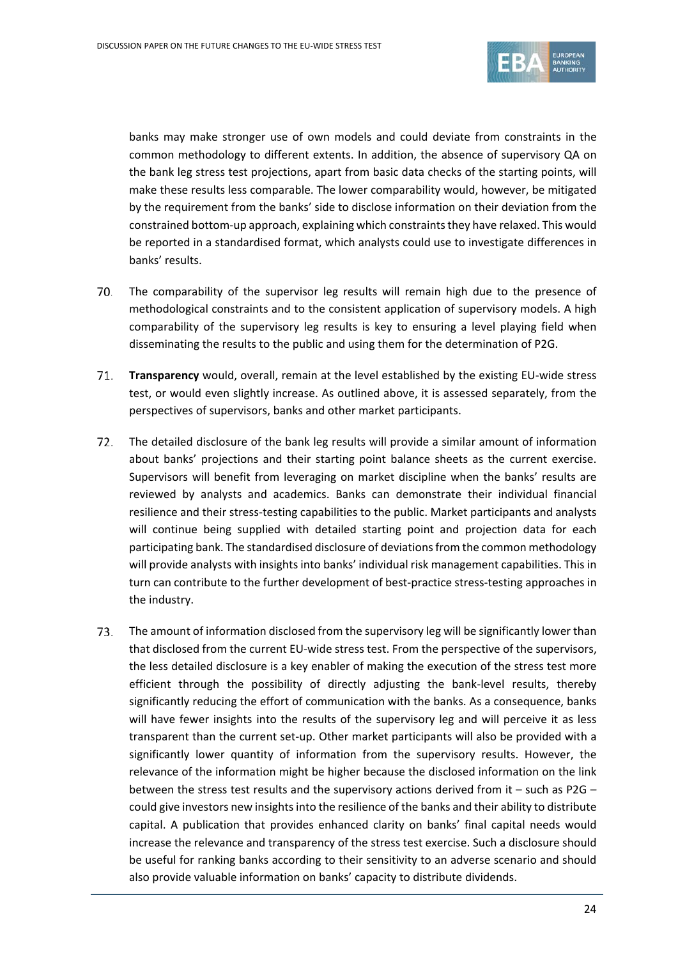

banks may make stronger use of own models and could deviate from constraints in the common methodology to different extents. In addition, the absence of supervisory QA on the bank leg stress test projections, apart from basic data checks of the starting points, will make these results less comparable. The lower comparability would, however, be mitigated by the requirement from the banks' side to disclose information on their deviation from the constrained bottom-up approach, explaining which constraints they have relaxed. This would be reported in a standardised format, which analysts could use to investigate differences in banks' results.

- 70. The comparability of the supervisor leg results will remain high due to the presence of methodological constraints and to the consistent application of supervisory models. A high comparability of the supervisory leg results is key to ensuring a level playing field when disseminating the results to the public and using them for the determination of P2G.
- 71. **Transparency** would, overall, remain at the level established by the existing EU-wide stress test, or would even slightly increase. As outlined above, it is assessed separately, from the perspectives of supervisors, banks and other market participants.
- 72. The detailed disclosure of the bank leg results will provide a similar amount of information about banks' projections and their starting point balance sheets as the current exercise. Supervisors will benefit from leveraging on market discipline when the banks' results are reviewed by analysts and academics. Banks can demonstrate their individual financial resilience and their stress-testing capabilities to the public. Market participants and analysts will continue being supplied with detailed starting point and projection data for each participating bank. The standardised disclosure of deviations from the common methodology will provide analysts with insights into banks' individual risk management capabilities. This in turn can contribute to the further development of best-practice stress-testing approaches in the industry.
- 73. The amount of information disclosed from the supervisory leg will be significantly lower than that disclosed from the current EU-wide stress test. From the perspective of the supervisors, the less detailed disclosure is a key enabler of making the execution of the stress test more efficient through the possibility of directly adjusting the bank-level results, thereby significantly reducing the effort of communication with the banks. As a consequence, banks will have fewer insights into the results of the supervisory leg and will perceive it as less transparent than the current set-up. Other market participants will also be provided with a significantly lower quantity of information from the supervisory results. However, the relevance of the information might be higher because the disclosed information on the link between the stress test results and the supervisory actions derived from it – such as P2G – could give investors new insights into the resilience of the banks and their ability to distribute capital. A publication that provides enhanced clarity on banks' final capital needs would increase the relevance and transparency of the stress test exercise. Such a disclosure should be useful for ranking banks according to their sensitivity to an adverse scenario and should also provide valuable information on banks' capacity to distribute dividends.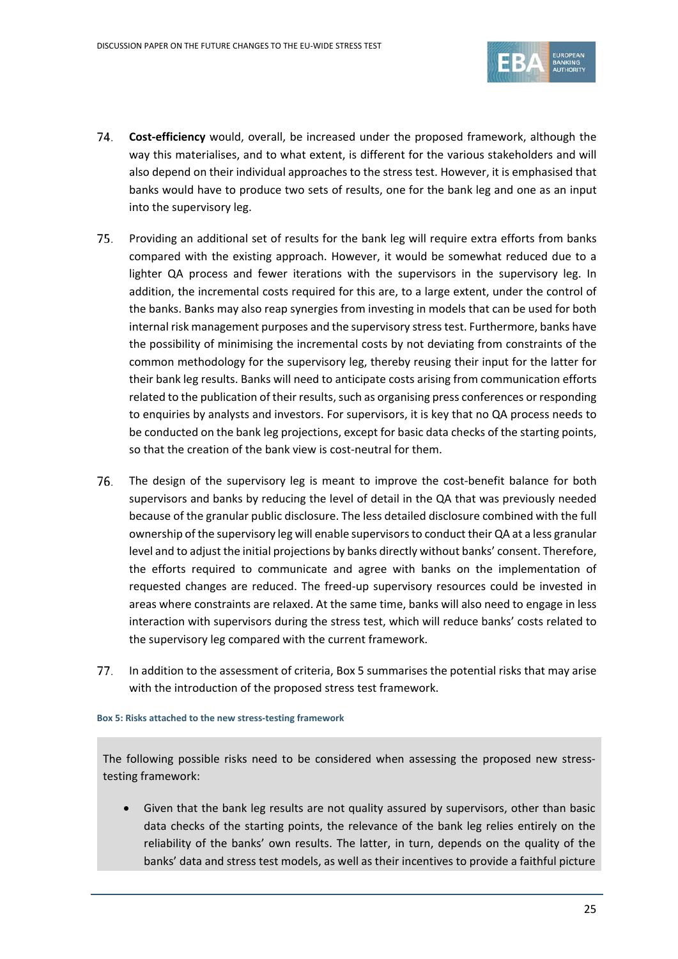

- **Cost-efficiency** would, overall, be increased under the proposed framework, although the 74. way this materialises, and to what extent, is different for the various stakeholders and will also depend on their individual approaches to the stress test. However, it is emphasised that banks would have to produce two sets of results, one for the bank leg and one as an input into the supervisory leg.
- 75. Providing an additional set of results for the bank leg will require extra efforts from banks compared with the existing approach. However, it would be somewhat reduced due to a lighter QA process and fewer iterations with the supervisors in the supervisory leg. In addition, the incremental costs required for this are, to a large extent, under the control of the banks. Banks may also reap synergies from investing in models that can be used for both internal risk management purposes and the supervisory stress test. Furthermore, banks have the possibility of minimising the incremental costs by not deviating from constraints of the common methodology for the supervisory leg, thereby reusing their input for the latter for their bank leg results. Banks will need to anticipate costs arising from communication efforts related to the publication of their results, such as organising press conferences or responding to enquiries by analysts and investors. For supervisors, it is key that no QA process needs to be conducted on the bank leg projections, except for basic data checks of the starting points, so that the creation of the bank view is cost-neutral for them.
- 76. The design of the supervisory leg is meant to improve the cost-benefit balance for both supervisors and banks by reducing the level of detail in the QA that was previously needed because of the granular public disclosure. The less detailed disclosure combined with the full ownership of the supervisory leg will enable supervisors to conduct their QA at a less granular level and to adjust the initial projections by banks directly without banks' consent. Therefore, the efforts required to communicate and agree with banks on the implementation of requested changes are reduced. The freed-up supervisory resources could be invested in areas where constraints are relaxed. At the same time, banks will also need to engage in less interaction with supervisors during the stress test, which will reduce banks' costs related to the supervisory leg compared with the current framework.
- $77.$ In addition to the assessment of criteria, [Box](#page-24-0) 5 summarises the potential risks that may arise with the introduction of the proposed stress test framework.

#### <span id="page-24-0"></span>**Box 5: Risks attached to the new stress-testing framework**

The following possible risks need to be considered when assessing the proposed new stresstesting framework:

• Given that the bank leg results are not quality assured by supervisors, other than basic data checks of the starting points, the relevance of the bank leg relies entirely on the reliability of the banks' own results. The latter, in turn, depends on the quality of the banks' data and stress test models, as well as their incentives to provide a faithful picture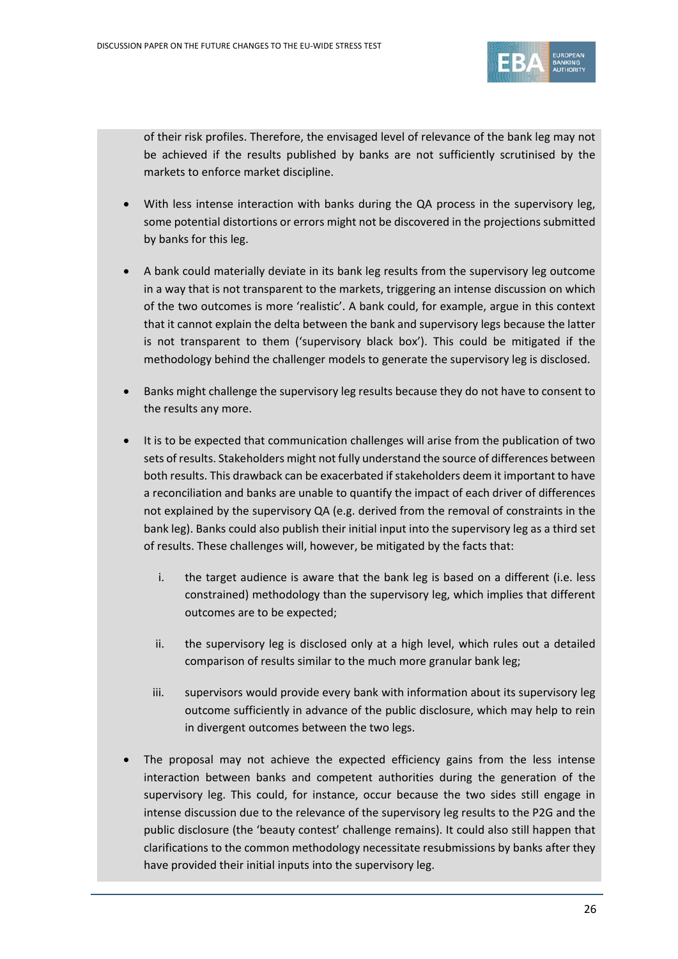

of their risk profiles. Therefore, the envisaged level of relevance of the bank leg may not be achieved if the results published by banks are not sufficiently scrutinised by the markets to enforce market discipline.

- With less intense interaction with banks during the QA process in the supervisory leg, some potential distortions or errors might not be discovered in the projections submitted by banks for this leg.
- A bank could materially deviate in its bank leg results from the supervisory leg outcome in a way that is not transparent to the markets, triggering an intense discussion on which of the two outcomes is more 'realistic'. A bank could, for example, argue in this context that it cannot explain the delta between the bank and supervisory legs because the latter is not transparent to them ('supervisory black box'). This could be mitigated if the methodology behind the challenger models to generate the supervisory leg is disclosed.
- Banks might challenge the supervisory leg results because they do not have to consent to the results any more.
- It is to be expected that communication challenges will arise from the publication of two sets of results. Stakeholders might not fully understand the source of differences between both results. This drawback can be exacerbated if stakeholders deem it important to have a reconciliation and banks are unable to quantify the impact of each driver of differences not explained by the supervisory QA (e.g. derived from the removal of constraints in the bank leg). Banks could also publish their initial input into the supervisory leg as a third set of results. These challenges will, however, be mitigated by the facts that:
	- i. the target audience is aware that the bank leg is based on a different (i.e. less constrained) methodology than the supervisory leg, which implies that different outcomes are to be expected;
	- ii. the supervisory leg is disclosed only at a high level, which rules out a detailed comparison of results similar to the much more granular bank leg;
	- iii. supervisors would provide every bank with information about its supervisory leg outcome sufficiently in advance of the public disclosure, which may help to rein in divergent outcomes between the two legs.
- The proposal may not achieve the expected efficiency gains from the less intense interaction between banks and competent authorities during the generation of the supervisory leg. This could, for instance, occur because the two sides still engage in intense discussion due to the relevance of the supervisory leg results to the P2G and the public disclosure (the 'beauty contest' challenge remains). It could also still happen that clarifications to the common methodology necessitate resubmissions by banks after they have provided their initial inputs into the supervisory leg.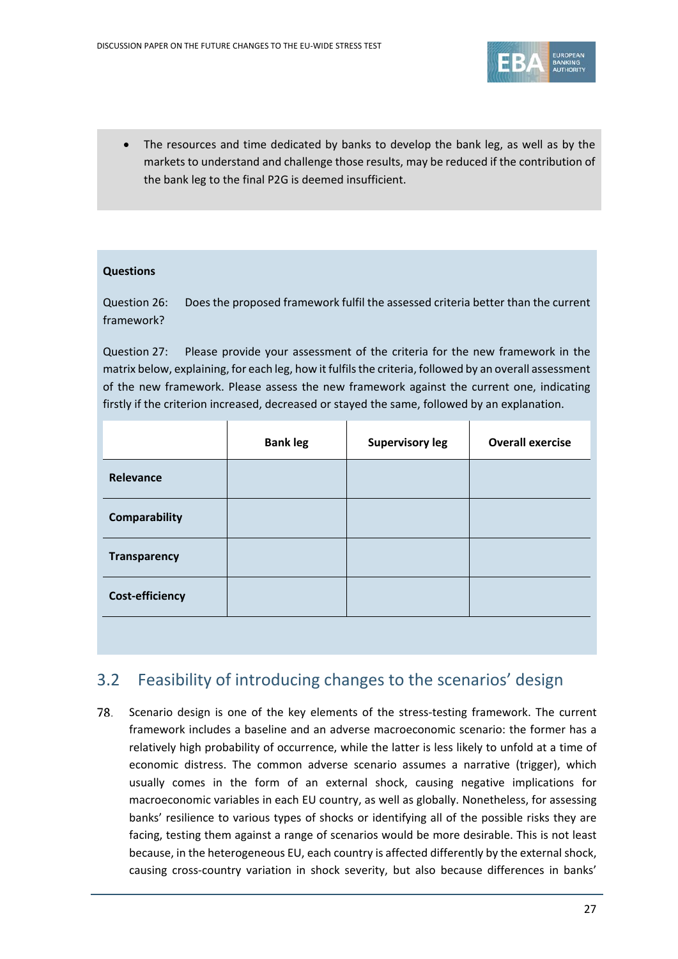

The resources and time dedicated by banks to develop the bank leg, as well as by the markets to understand and challenge those results, may be reduced if the contribution of the bank leg to the final P2G is deemed insufficient.

### **Questions**

Question 26: Does the proposed framework fulfil the assessed criteria better than the current framework?

Question 27: Please provide your assessment of the criteria for the new framework in the matrix below, explaining, for each leg, how it fulfils the criteria, followed by an overall assessment of the new framework. Please assess the new framework against the current one, indicating firstly if the criterion increased, decreased or stayed the same, followed by an explanation.

|                        | <b>Bank leg</b> | <b>Supervisory leg</b> | <b>Overall exercise</b> |
|------------------------|-----------------|------------------------|-------------------------|
| Relevance              |                 |                        |                         |
| <b>Comparability</b>   |                 |                        |                         |
| <b>Transparency</b>    |                 |                        |                         |
| <b>Cost-efficiency</b> |                 |                        |                         |
|                        |                 |                        |                         |

## <span id="page-26-0"></span>3.2 Feasibility of introducing changes to the scenarios' design

Scenario design is one of the key elements of the stress-testing framework. The current 78. framework includes a baseline and an adverse macroeconomic scenario: the former has a relatively high probability of occurrence, while the latter is less likely to unfold at a time of economic distress. The common adverse scenario assumes a narrative (trigger), which usually comes in the form of an external shock, causing negative implications for macroeconomic variables in each EU country, as well as globally. Nonetheless, for assessing banks' resilience to various types of shocks or identifying all of the possible risks they are facing, testing them against a range of scenarios would be more desirable. This is not least because, in the heterogeneous EU, each country is affected differently by the external shock, causing cross-country variation in shock severity, but also because differences in banks'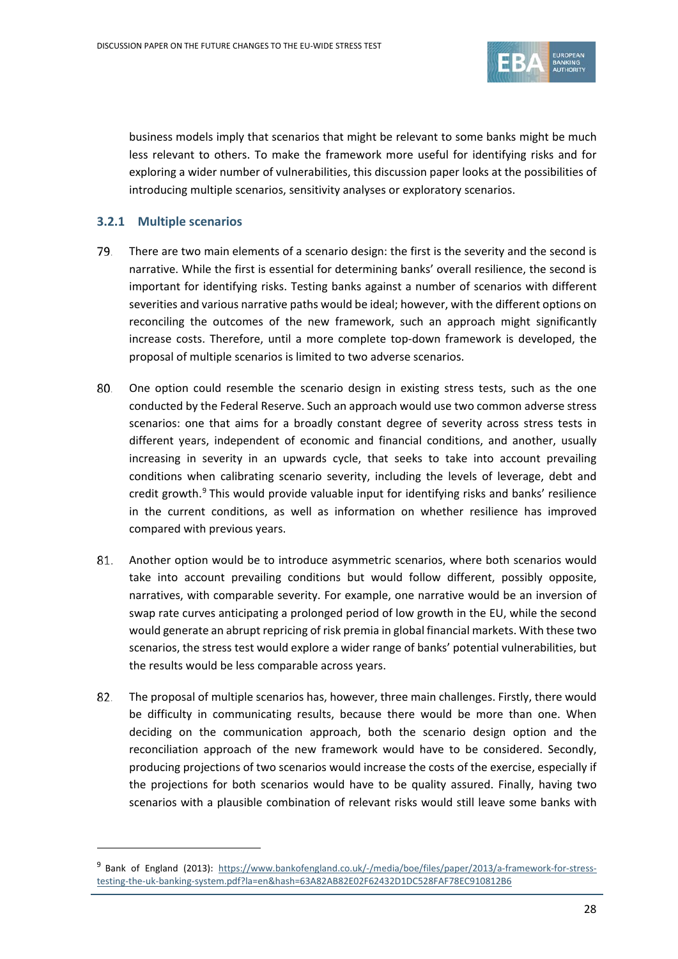

business models imply that scenarios that might be relevant to some banks might be much less relevant to others. To make the framework more useful for identifying risks and for exploring a wider number of vulnerabilities, this discussion paper looks at the possibilities of introducing multiple scenarios, sensitivity analyses or exploratory scenarios.

#### <span id="page-27-0"></span>**3.2.1 Multiple scenarios**

 $\overline{a}$ 

- 79. There are two main elements of a scenario design: the first is the severity and the second is narrative. While the first is essential for determining banks' overall resilience, the second is important for identifying risks. Testing banks against a number of scenarios with different severities and various narrative paths would be ideal; however, with the different options on reconciling the outcomes of the new framework, such an approach might significantly increase costs. Therefore, until a more complete top-down framework is developed, the proposal of multiple scenarios is limited to two adverse scenarios.
- 80. One option could resemble the scenario design in existing stress tests, such as the one conducted by the Federal Reserve. Such an approach would use two common adverse stress scenarios: one that aims for a broadly constant degree of severity across stress tests in different years, independent of economic and financial conditions, and another, usually increasing in severity in an upwards cycle, that seeks to take into account prevailing conditions when calibrating scenario severity, including the levels of leverage, debt and credit growth. $9$  This would provide valuable input for identifying risks and banks' resilience in the current conditions, as well as information on whether resilience has improved compared with previous years.
- 81. Another option would be to introduce asymmetric scenarios, where both scenarios would take into account prevailing conditions but would follow different, possibly opposite, narratives, with comparable severity. For example, one narrative would be an inversion of swap rate curves anticipating a prolonged period of low growth in the EU, while the second would generate an abrupt repricing of risk premia in global financial markets. With these two scenarios, the stress test would explore a wider range of banks' potential vulnerabilities, but the results would be less comparable across years.
- 82. The proposal of multiple scenarios has, however, three main challenges. Firstly, there would be difficulty in communicating results, because there would be more than one. When deciding on the communication approach, both the scenario design option and the reconciliation approach of the new framework would have to be considered. Secondly, producing projections of two scenarios would increase the costs of the exercise, especially if the projections for both scenarios would have to be quality assured. Finally, having two scenarios with a plausible combination of relevant risks would still leave some banks with

<span id="page-27-1"></span><sup>&</sup>lt;sup>9</sup> Bank of England (2013): [https://www.bankofengland.co.uk/-/media/boe/files/paper/2013/a-framework-for-stress](https://www.bankofengland.co.uk/-/media/boe/files/paper/2013/a-framework-for-stress-testing-the-uk-banking-system.pdf?la=en&hash=63A82AB82E02F62432D1DC528FAF78EC910812B6)[testing-the-uk-banking-system.pdf?la=en&hash=63A82AB82E02F62432D1DC528FAF78EC910812B6](https://www.bankofengland.co.uk/-/media/boe/files/paper/2013/a-framework-for-stress-testing-the-uk-banking-system.pdf?la=en&hash=63A82AB82E02F62432D1DC528FAF78EC910812B6)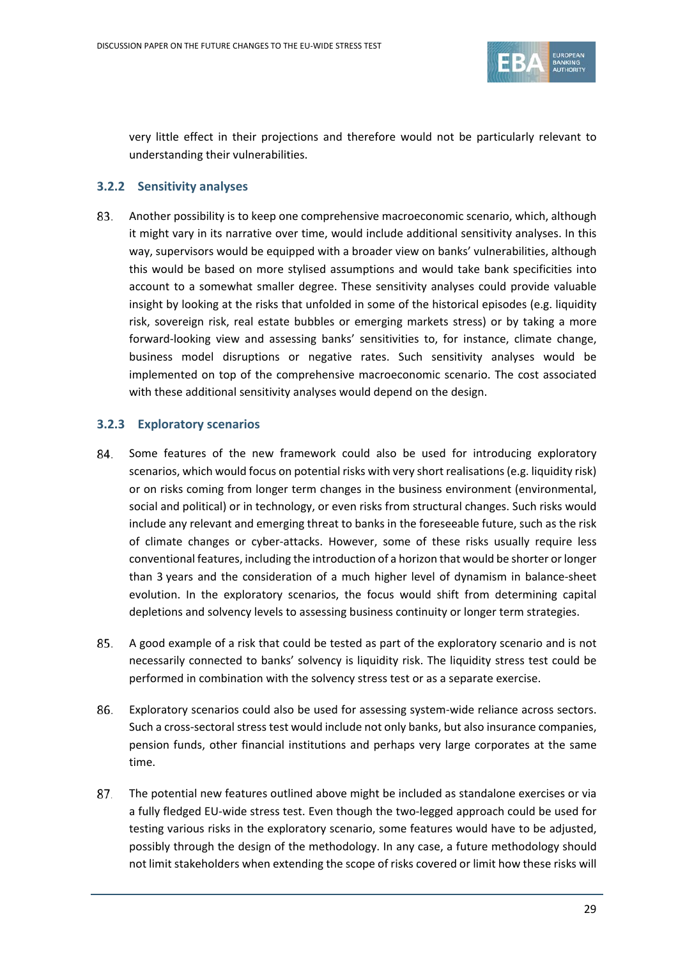

very little effect in their projections and therefore would not be particularly relevant to understanding their vulnerabilities.

### <span id="page-28-0"></span>**3.2.2 Sensitivity analyses**

83. Another possibility is to keep one comprehensive macroeconomic scenario, which, although it might vary in its narrative over time, would include additional sensitivity analyses. In this way, supervisors would be equipped with a broader view on banks' vulnerabilities, although this would be based on more stylised assumptions and would take bank specificities into account to a somewhat smaller degree. These sensitivity analyses could provide valuable insight by looking at the risks that unfolded in some of the historical episodes (e.g. liquidity risk, sovereign risk, real estate bubbles or emerging markets stress) or by taking a more forward-looking view and assessing banks' sensitivities to, for instance, climate change, business model disruptions or negative rates. Such sensitivity analyses would be implemented on top of the comprehensive macroeconomic scenario. The cost associated with these additional sensitivity analyses would depend on the design.

### <span id="page-28-1"></span>**3.2.3 Exploratory scenarios**

- 84. Some features of the new framework could also be used for introducing exploratory scenarios, which would focus on potential risks with very short realisations(e.g. liquidity risk) or on risks coming from longer term changes in the business environment (environmental, social and political) or in technology, or even risks from structural changes. Such risks would include any relevant and emerging threat to banks in the foreseeable future, such as the risk of climate changes or cyber-attacks. However, some of these risks usually require less conventional features, including the introduction of a horizon that would be shorter or longer than 3 years and the consideration of a much higher level of dynamism in balance-sheet evolution. In the exploratory scenarios, the focus would shift from determining capital depletions and solvency levels to assessing business continuity or longer term strategies.
- 85. A good example of a risk that could be tested as part of the exploratory scenario and is not necessarily connected to banks' solvency is liquidity risk. The liquidity stress test could be performed in combination with the solvency stress test or as a separate exercise.
- Exploratory scenarios could also be used for assessing system-wide reliance across sectors. 86. Such a cross-sectoral stress test would include not only banks, but also insurance companies, pension funds, other financial institutions and perhaps very large corporates at the same time.
- 87. The potential new features outlined above might be included as standalone exercises or via a fully fledged EU-wide stress test. Even though the two-legged approach could be used for testing various risks in the exploratory scenario, some features would have to be adjusted, possibly through the design of the methodology. In any case, a future methodology should not limit stakeholders when extending the scope of risks covered or limit how these risks will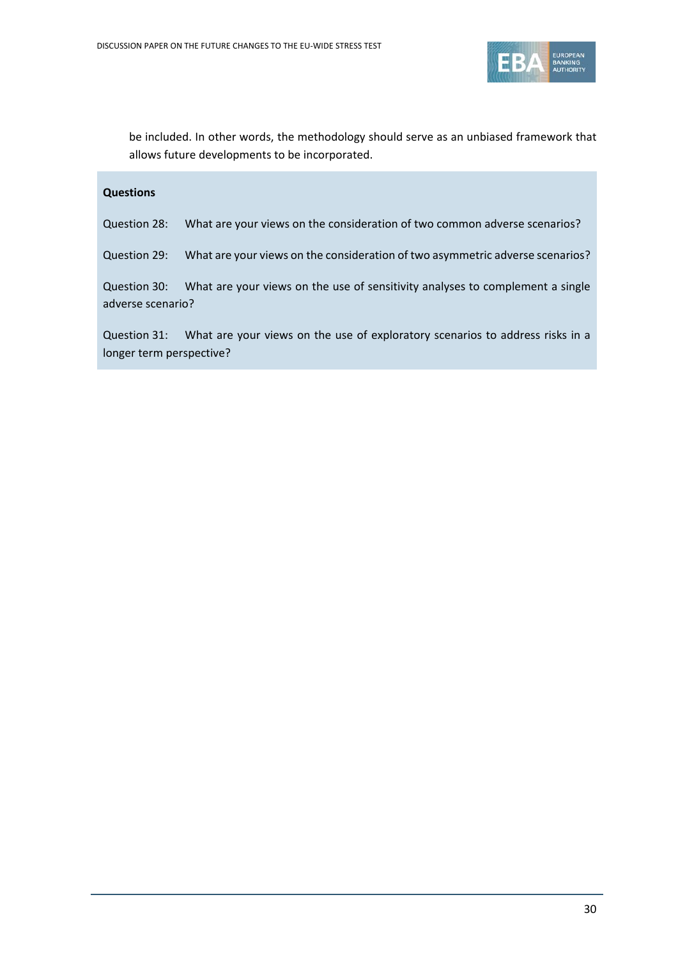

be included. In other words, the methodology should serve as an unbiased framework that allows future developments to be incorporated.

#### **Questions**

Question 28: What are your views on the consideration of two common adverse scenarios?

Question 29: What are your views on the consideration of two asymmetric adverse scenarios?

Question 30: What are your views on the use of sensitivity analyses to complement a single adverse scenario?

Question 31: What are your views on the use of exploratory scenarios to address risks in a longer term perspective?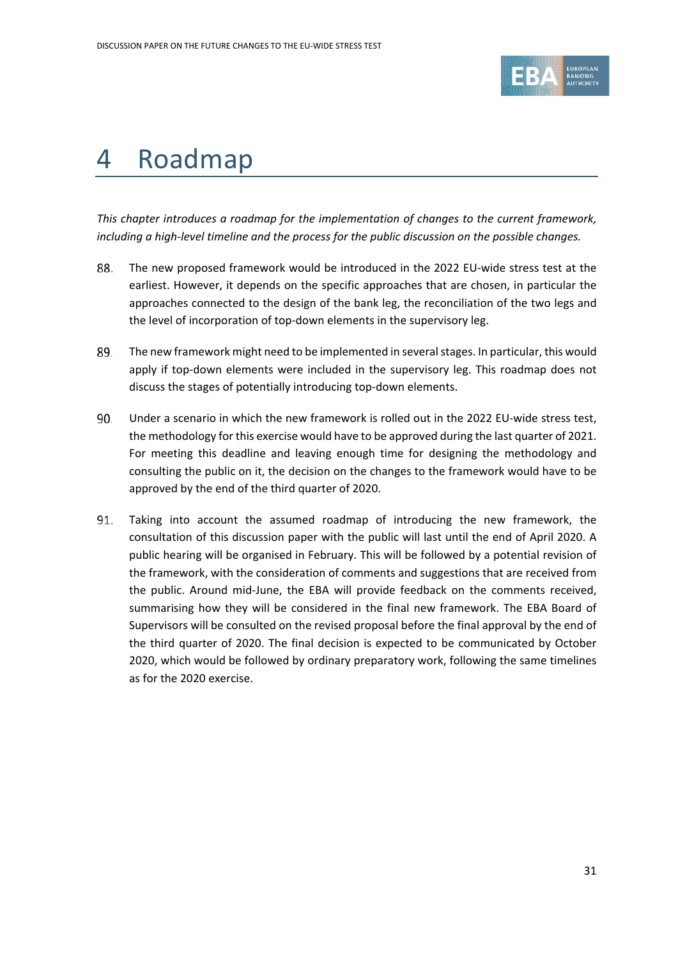

# <span id="page-30-0"></span>4 Roadmap

*This chapter introduces a roadmap for the implementation of changes to the current framework, including a high-level timeline and the process for the public discussion on the possible changes.*

- 88. The new proposed framework would be introduced in the 2022 EU-wide stress test at the earliest. However, it depends on the specific approaches that are chosen, in particular the approaches connected to the design of the bank leg, the reconciliation of the two legs and the level of incorporation of top-down elements in the supervisory leg.
- 89. The new framework might need to be implemented in several stages. In particular, this would apply if top-down elements were included in the supervisory leg. This roadmap does not discuss the stages of potentially introducing top-down elements.
- 90. Under a scenario in which the new framework is rolled out in the 2022 EU-wide stress test, the methodology for this exercise would have to be approved during the last quarter of 2021. For meeting this deadline and leaving enough time for designing the methodology and consulting the public on it, the decision on the changes to the framework would have to be approved by the end of the third quarter of 2020.
- 91. Taking into account the assumed roadmap of introducing the new framework, the consultation of this discussion paper with the public will last until the end of April 2020. A public hearing will be organised in February. This will be followed by a potential revision of the framework, with the consideration of comments and suggestions that are received from the public. Around mid-June, the EBA will provide feedback on the comments received, summarising how they will be considered in the final new framework. The EBA Board of Supervisors will be consulted on the revised proposal before the final approval by the end of the third quarter of 2020. The final decision is expected to be communicated by October 2020, which would be followed by ordinary preparatory work, following the same timelines as for the 2020 exercise.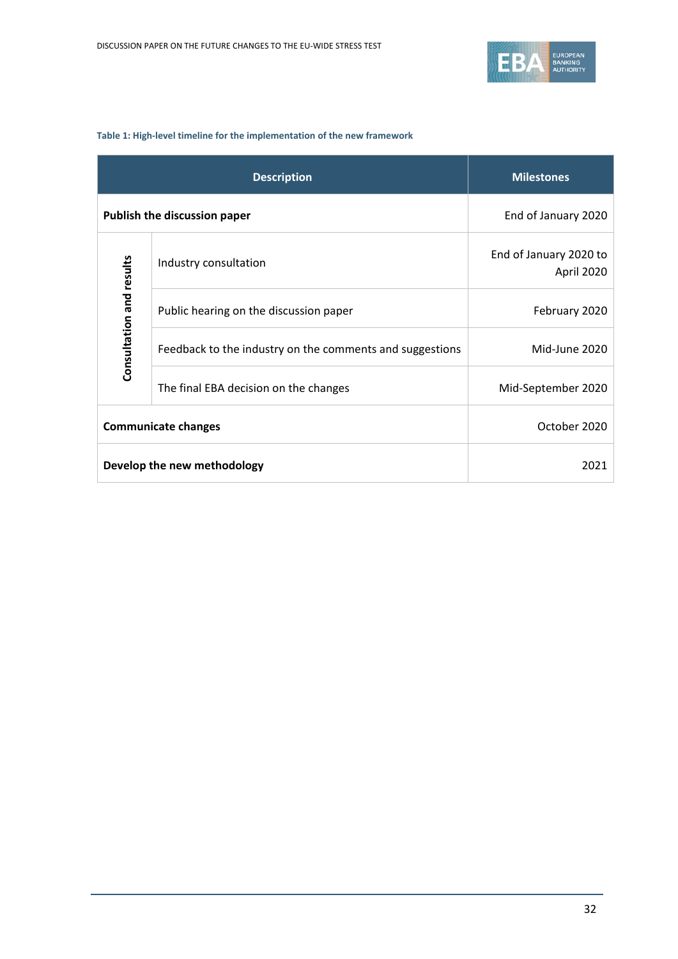

#### <span id="page-31-0"></span>**Table 1: High-level timeline for the implementation of the new framework**

|                          | <b>Description</b>                                       | <b>Milestones</b>                    |
|--------------------------|----------------------------------------------------------|--------------------------------------|
|                          | <b>Publish the discussion paper</b>                      | End of January 2020                  |
|                          | Industry consultation                                    | End of January 2020 to<br>April 2020 |
| Consultation and results | Public hearing on the discussion paper                   | February 2020                        |
|                          | Feedback to the industry on the comments and suggestions | Mid-June 2020                        |
|                          | The final EBA decision on the changes                    | Mid-September 2020                   |
|                          | <b>Communicate changes</b>                               | October 2020                         |
|                          | Develop the new methodology                              | 2021                                 |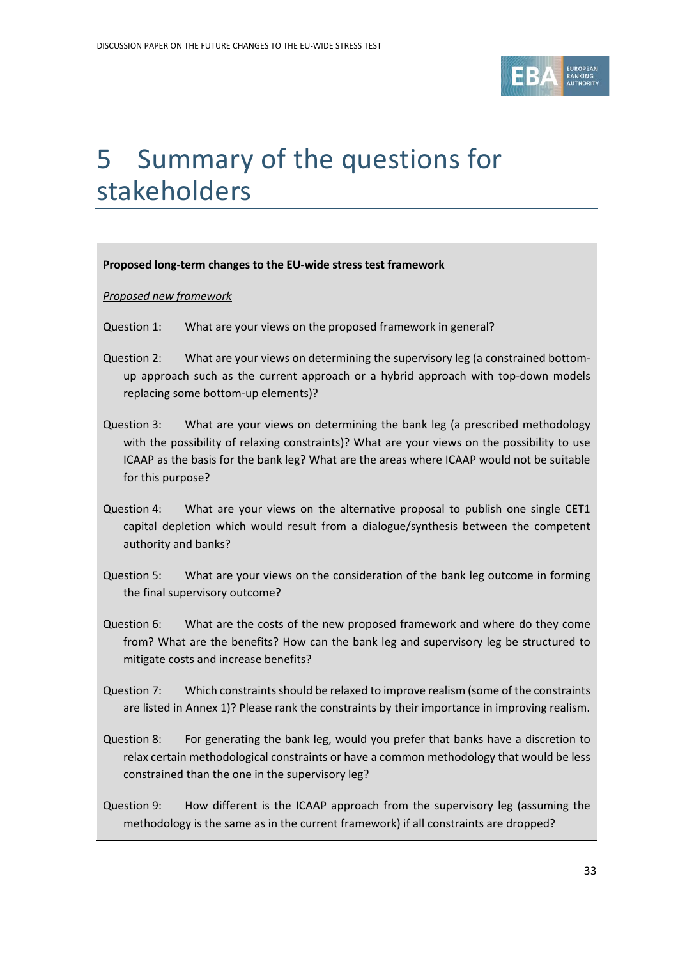

# <span id="page-32-0"></span>5 Summary of the questions for stakeholders

#### **Proposed long-term changes to the EU-wide stress test framework**

#### *Proposed new framework*

- Question 1: What are your views on the proposed framework in general?
- Question 2: What are your views on determining the supervisory leg (a constrained bottomup approach such as the current approach or a hybrid approach with top-down models replacing some bottom-up elements)?
- Question 3: What are your views on determining the bank leg (a prescribed methodology with the possibility of relaxing constraints)? What are your views on the possibility to use ICAAP as the basis for the bank leg? What are the areas where ICAAP would not be suitable for this purpose?
- Question 4: What are your views on the alternative proposal to publish one single CET1 capital depletion which would result from a dialogue/synthesis between the competent authority and banks?
- Question 5: What are your views on the consideration of the bank leg outcome in forming the final supervisory outcome?
- Question 6: What are the costs of the new proposed framework and where do they come from? What are the benefits? How can the bank leg and supervisory leg be structured to mitigate costs and increase benefits?
- Question 7: Which constraints should be relaxed to improve realism (some of the constraints are listed in Annex 1)? Please rank the constraints by their importance in improving realism.
- Question 8: For generating the bank leg, would you prefer that banks have a discretion to relax certain methodological constraints or have a common methodology that would be less constrained than the one in the supervisory leg?
- Question 9: How different is the ICAAP approach from the supervisory leg (assuming the methodology is the same as in the current framework) if all constraints are dropped?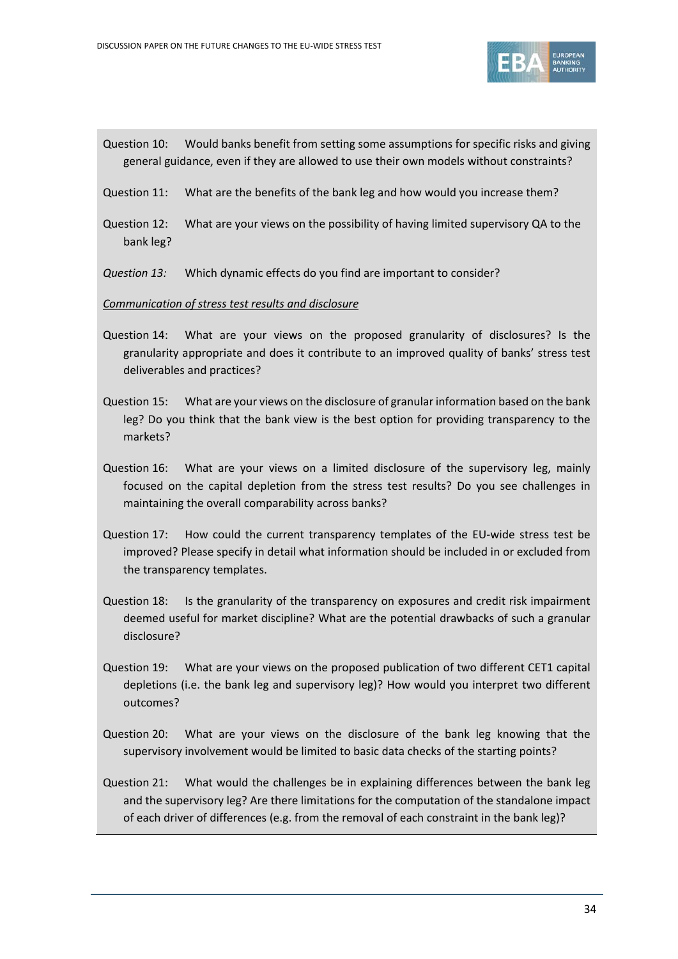

- Question 10: Would banks benefit from setting some assumptions for specific risks and giving general guidance, even if they are allowed to use their own models without constraints?
- Question 11: What are the benefits of the bank leg and how would you increase them?
- Question 12: What are your views on the possibility of having limited supervisory QA to the bank leg?
- *Question 13:* Which dynamic effects do you find are important to consider?

#### *Communication of stress test results and disclosure*

- Question 14: What are your views on the proposed granularity of disclosures? Is the granularity appropriate and does it contribute to an improved quality of banks' stress test deliverables and practices?
- Question 15: What are your views on the disclosure of granular information based on the bank leg? Do you think that the bank view is the best option for providing transparency to the markets?
- Question 16: What are your views on a limited disclosure of the supervisory leg, mainly focused on the capital depletion from the stress test results? Do you see challenges in maintaining the overall comparability across banks?
- Question 17: How could the current transparency templates of the EU-wide stress test be improved? Please specify in detail what information should be included in or excluded from the transparency templates.
- Question 18: Is the granularity of the transparency on exposures and credit risk impairment deemed useful for market discipline? What are the potential drawbacks of such a granular disclosure?
- Question 19: What are your views on the proposed publication of two different CET1 capital depletions (i.e. the bank leg and supervisory leg)? How would you interpret two different outcomes?
- Question 20: What are your views on the disclosure of the bank leg knowing that the supervisory involvement would be limited to basic data checks of the starting points?
- Question 21: What would the challenges be in explaining differences between the bank leg and the supervisory leg? Are there limitations for the computation of the standalone impact of each driver of differences (e.g. from the removal of each constraint in the bank leg)?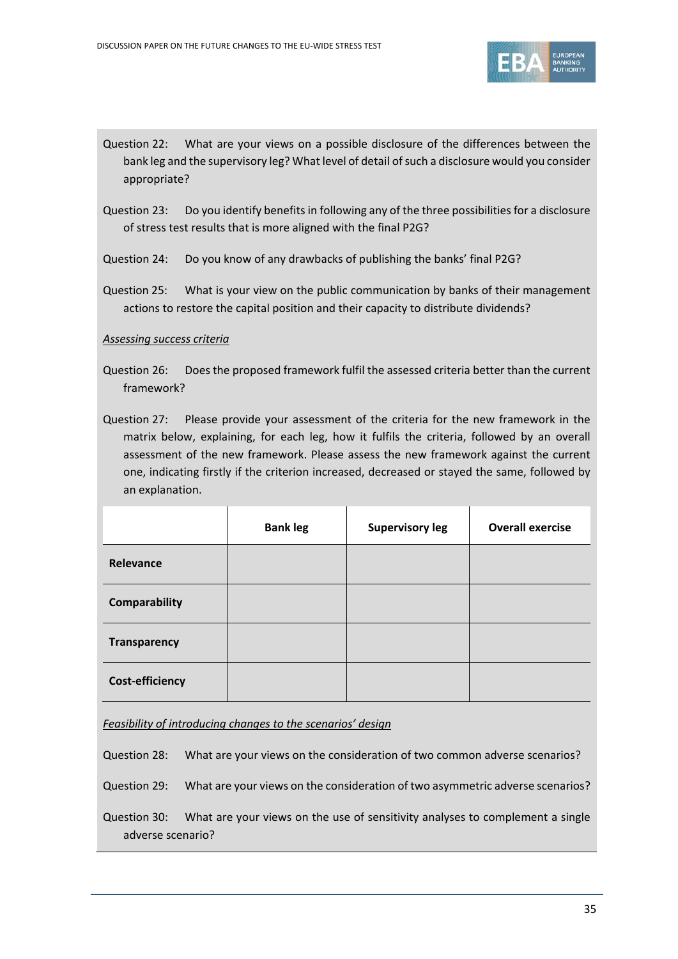

- Question 22: What are your views on a possible disclosure of the differences between the bank leg and the supervisory leg? What level of detail of such a disclosure would you consider appropriate?
- Question 23: Do you identify benefits in following any of the three possibilities for a disclosure of stress test results that is more aligned with the final P2G?
- Question 24: Do you know of any drawbacks of publishing the banks' final P2G?
- Question 25: What is your view on the public communication by banks of their management actions to restore the capital position and their capacity to distribute dividends?

#### *Assessing success criteria*

- Question 26: Does the proposed framework fulfil the assessed criteria better than the current framework?
- Question 27: Please provide your assessment of the criteria for the new framework in the matrix below, explaining, for each leg, how it fulfils the criteria, followed by an overall assessment of the new framework. Please assess the new framework against the current one, indicating firstly if the criterion increased, decreased or stayed the same, followed by an explanation.

|                        | <b>Bank leg</b> | <b>Supervisory leg</b> | <b>Overall exercise</b> |
|------------------------|-----------------|------------------------|-------------------------|
| Relevance              |                 |                        |                         |
| <b>Comparability</b>   |                 |                        |                         |
| <b>Transparency</b>    |                 |                        |                         |
| <b>Cost-efficiency</b> |                 |                        |                         |

*Feasibility of introducing changes to the scenarios' design*

Question 28: What are your views on the consideration of two common adverse scenarios?

Question 29: What are your views on the consideration of two asymmetric adverse scenarios?

Question 30: What are your views on the use of sensitivity analyses to complement a single adverse scenario?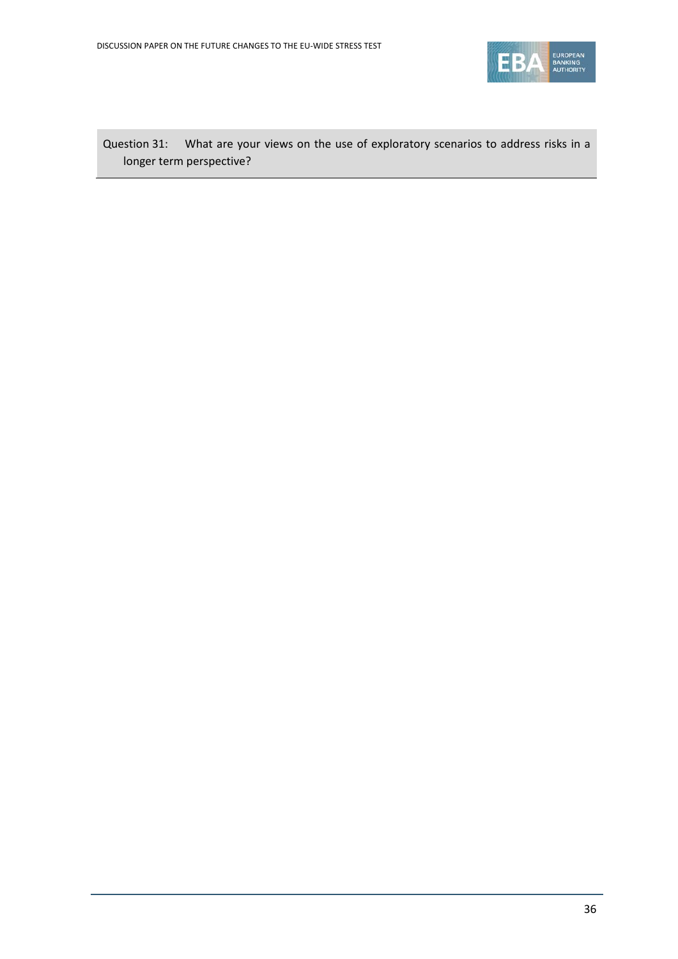

Question 31: What are your views on the use of exploratory scenarios to address risks in a longer term perspective?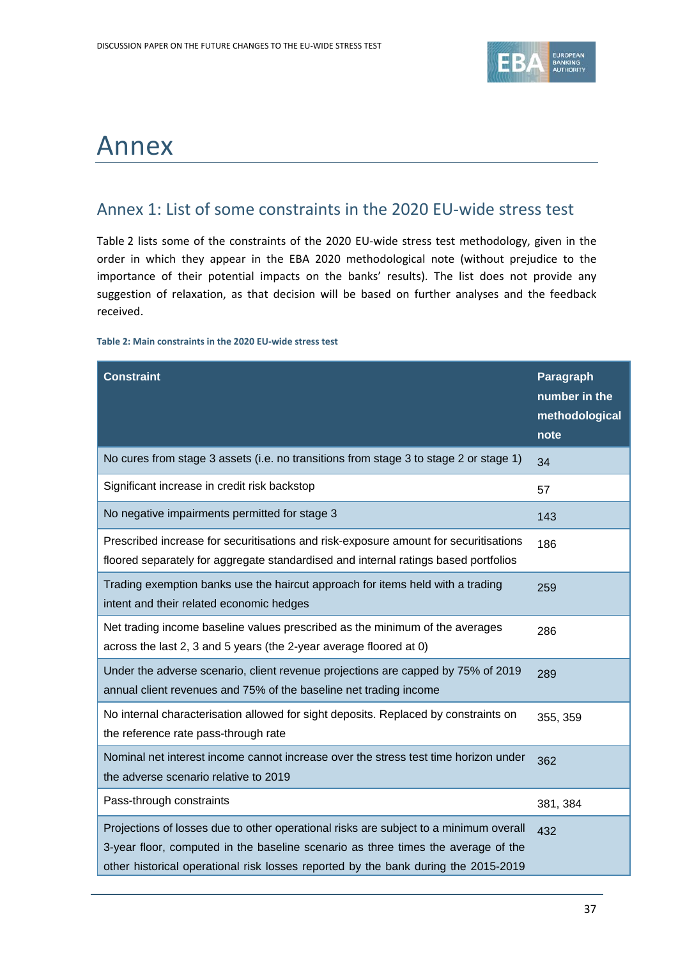

# <span id="page-36-0"></span>Annex

## <span id="page-36-1"></span>Annex 1: List of some constraints in the 2020 EU-wide stress test

Table 2 lists some of the constraints of the 2020 EU-wide stress test methodology, given in the order in which they appear in the EBA 2020 methodological note (without prejudice to the importance of their potential impacts on the banks' results). The list does not provide any suggestion of relaxation, as that decision will be based on further analyses and the feedback received.

#### <span id="page-36-2"></span>**Table 2: Main constraints in the 2020 EU-wide stress test**

| <b>Constraint</b>                                                                                                                                                                                                                                                | Paragraph<br>number in the<br>methodological<br>note |
|------------------------------------------------------------------------------------------------------------------------------------------------------------------------------------------------------------------------------------------------------------------|------------------------------------------------------|
| No cures from stage 3 assets (i.e. no transitions from stage 3 to stage 2 or stage 1)                                                                                                                                                                            | 34                                                   |
| Significant increase in credit risk backstop                                                                                                                                                                                                                     | 57                                                   |
| No negative impairments permitted for stage 3                                                                                                                                                                                                                    | 143                                                  |
| Prescribed increase for securitisations and risk-exposure amount for securitisations<br>floored separately for aggregate standardised and internal ratings based portfolios                                                                                      | 186                                                  |
| Trading exemption banks use the haircut approach for items held with a trading<br>intent and their related economic hedges                                                                                                                                       | 259                                                  |
| Net trading income baseline values prescribed as the minimum of the averages<br>across the last 2, 3 and 5 years (the 2-year average floored at 0)                                                                                                               | 286                                                  |
| Under the adverse scenario, client revenue projections are capped by 75% of 2019<br>annual client revenues and 75% of the baseline net trading income                                                                                                            | 289                                                  |
| No internal characterisation allowed for sight deposits. Replaced by constraints on<br>the reference rate pass-through rate                                                                                                                                      | 355, 359                                             |
| Nominal net interest income cannot increase over the stress test time horizon under<br>the adverse scenario relative to 2019                                                                                                                                     | 362                                                  |
| Pass-through constraints                                                                                                                                                                                                                                         | 381, 384                                             |
| Projections of losses due to other operational risks are subject to a minimum overall<br>3-year floor, computed in the baseline scenario as three times the average of the<br>other historical operational risk losses reported by the bank during the 2015-2019 | 432                                                  |